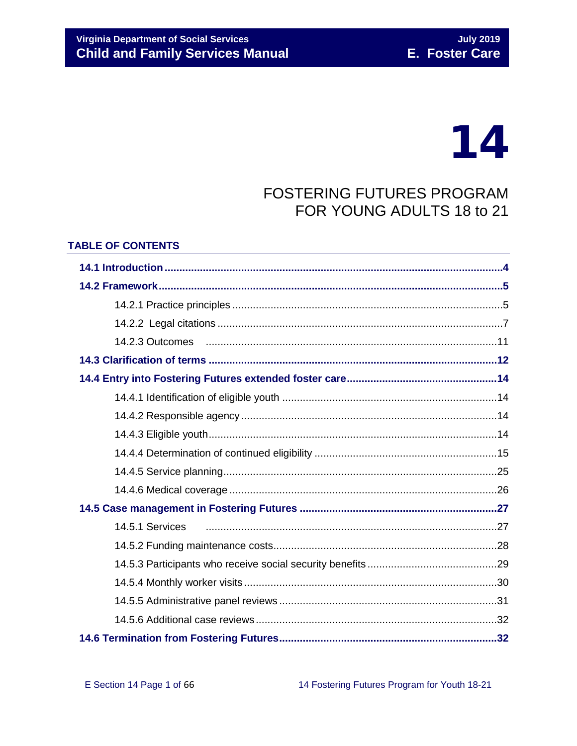# **Virginia Department of Social Services Child and Family Services Manual**

# 14

# **FOSTERING FUTURES PROGRAM** FOR YOUNG ADULTS 18 to 21

#### **TABLE OF CONTENTS**

| 14.5.1 Services |  |  |  |
|-----------------|--|--|--|
|                 |  |  |  |
|                 |  |  |  |
|                 |  |  |  |
|                 |  |  |  |
|                 |  |  |  |
|                 |  |  |  |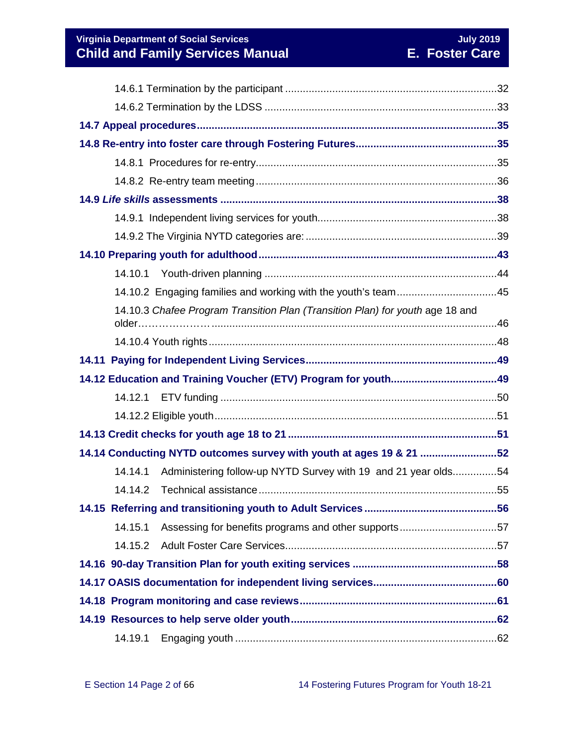**Virginia Department of Social Services**<br> **Child and Family Services Manual Child and Family Services Manual E. Foster Care Child and Family Services Manual** 

| 14.10.1 |                                                                               |  |  |  |
|---------|-------------------------------------------------------------------------------|--|--|--|
|         | 14.10.2 Engaging families and working with the youth's team45                 |  |  |  |
|         | 14.10.3 Chafee Program Transition Plan (Transition Plan) for youth age 18 and |  |  |  |
|         |                                                                               |  |  |  |
|         |                                                                               |  |  |  |
|         |                                                                               |  |  |  |
| 14.12.1 |                                                                               |  |  |  |
|         |                                                                               |  |  |  |
|         |                                                                               |  |  |  |
|         | 14.14 Conducting NYTD outcomes survey with youth at ages 19 & 21 52           |  |  |  |
| 14.14.1 | Administering follow-up NYTD Survey with 19 and 21 year olds54                |  |  |  |
|         |                                                                               |  |  |  |
|         |                                                                               |  |  |  |
| 14.15.1 |                                                                               |  |  |  |
| 14.15.2 |                                                                               |  |  |  |
|         |                                                                               |  |  |  |
|         |                                                                               |  |  |  |
|         |                                                                               |  |  |  |
|         |                                                                               |  |  |  |
| 14.19.1 |                                                                               |  |  |  |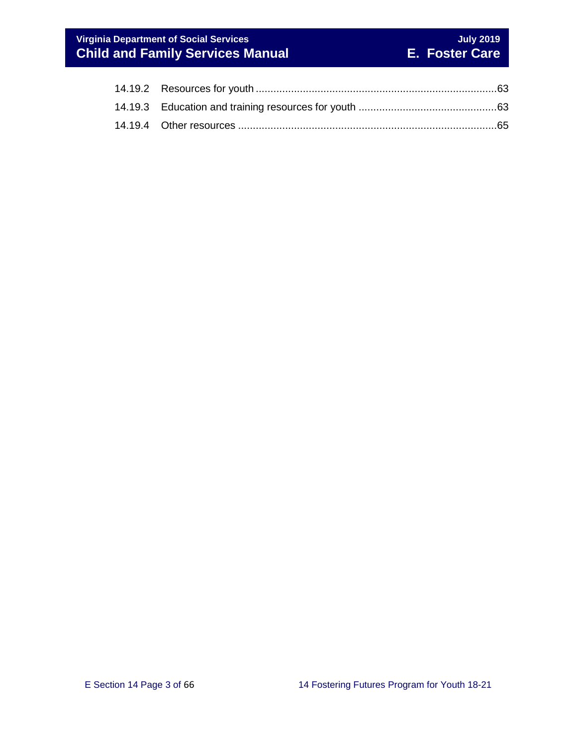# **Virginia Department of Social Services**<br> **Child and Family Services Manual Child and Family Services Manual E. Foster Care Child and Family Services Manual**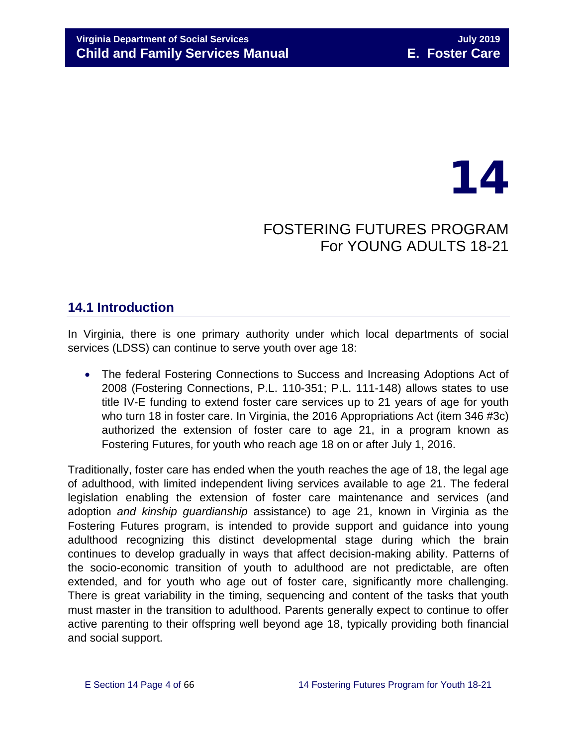# 14

# FOSTERING FUTURES PROGRAM For YOUNG ADULTS 18-21

# <span id="page-3-0"></span>**14.1 Introduction**

In Virginia, there is one primary authority under which local departments of social services (LDSS) can continue to serve youth over age 18:

• The federal Fostering Connections to Success and Increasing Adoptions Act of 2008 (Fostering Connections, P.L. 110-351; P.L. 111-148) allows states to use title IV-E funding to extend foster care services up to 21 years of age for youth who turn 18 in foster care. In Virginia, the 2016 Appropriations Act (item 346 #3c) authorized the extension of foster care to age 21, in a program known as Fostering Futures, for youth who reach age 18 on or after July 1, 2016.

Traditionally, foster care has ended when the youth reaches the age of 18, the legal age of adulthood, with limited independent living services available to age 21. The federal legislation enabling the extension of foster care maintenance and services (and adoption *and kinship guardianship* assistance) to age 21, known in Virginia as the Fostering Futures program, is intended to provide support and guidance into young adulthood recognizing this distinct developmental stage during which the brain continues to develop gradually in ways that affect decision-making ability. Patterns of the socio-economic transition of youth to adulthood are not predictable, are often extended, and for youth who age out of foster care, significantly more challenging. There is great variability in the timing, sequencing and content of the tasks that youth must master in the transition to adulthood. Parents generally expect to continue to offer active parenting to their offspring well beyond age 18, typically providing both financial and social support.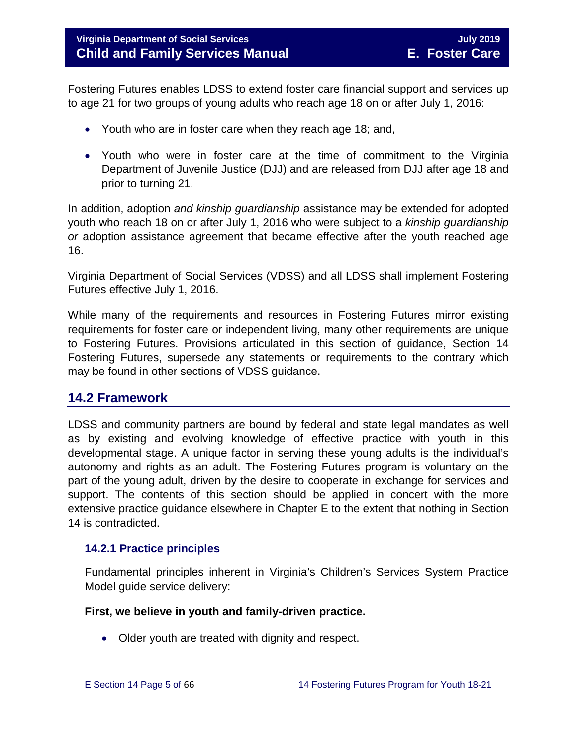Fostering Futures enables LDSS to extend foster care financial support and services up to age 21 for two groups of young adults who reach age 18 on or after July 1, 2016:

- Youth who are in foster care when they reach age 18; and,
- Youth who were in foster care at the time of commitment to the Virginia Department of Juvenile Justice (DJJ) and are released from DJJ after age 18 and prior to turning 21.

In addition, adoption *and kinship guardianship* assistance may be extended for adopted youth who reach 18 on or after July 1, 2016 who were subject to a *kinship guardianship or* adoption assistance agreement that became effective after the youth reached age 16.

Virginia Department of Social Services (VDSS) and all LDSS shall implement Fostering Futures effective July 1, 2016.

While many of the requirements and resources in Fostering Futures mirror existing requirements for foster care or independent living, many other requirements are unique to Fostering Futures. Provisions articulated in this section of guidance, Section 14 Fostering Futures, supersede any statements or requirements to the contrary which may be found in other sections of VDSS guidance.

# <span id="page-4-0"></span>**14.2 Framework**

LDSS and community partners are bound by federal and state legal mandates as well as by existing and evolving knowledge of effective practice with youth in this developmental stage. A unique factor in serving these young adults is the individual's autonomy and rights as an adult. The Fostering Futures program is voluntary on the part of the young adult, driven by the desire to cooperate in exchange for services and support. The contents of this section should be applied in concert with the more extensive practice guidance elsewhere in Chapter E to the extent that nothing in Section 14 is contradicted.

#### <span id="page-4-1"></span>**14.2.1 Practice principles**

Fundamental principles inherent in Virginia's Children's Services System Practice Model guide service delivery:

#### **First, we believe in youth and family-driven practice.**

• Older youth are treated with dignity and respect.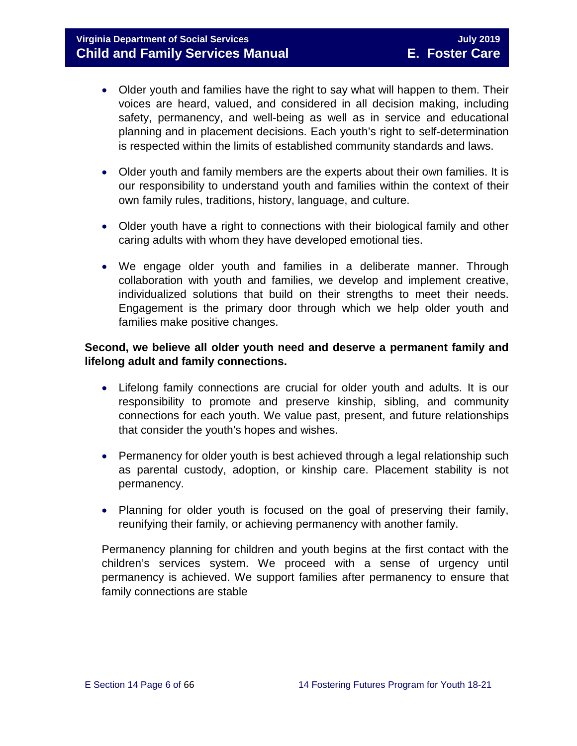- Older youth and families have the right to say what will happen to them. Their voices are heard, valued, and considered in all decision making, including safety, permanency, and well-being as well as in service and educational planning and in placement decisions. Each youth's right to self-determination is respected within the limits of established community standards and laws.
- Older youth and family members are the experts about their own families. It is our responsibility to understand youth and families within the context of their own family rules, traditions, history, language, and culture.
- Older youth have a right to connections with their biological family and other caring adults with whom they have developed emotional ties.
- We engage older youth and families in a deliberate manner. Through collaboration with youth and families, we develop and implement creative, individualized solutions that build on their strengths to meet their needs. Engagement is the primary door through which we help older youth and families make positive changes.

#### **Second, we believe all older youth need and deserve a permanent family and lifelong adult and family connections.**

- Lifelong family connections are crucial for older youth and adults. It is our responsibility to promote and preserve kinship, sibling, and community connections for each youth. We value past, present, and future relationships that consider the youth's hopes and wishes.
- Permanency for older youth is best achieved through a legal relationship such as parental custody, adoption, or kinship care. Placement stability is not permanency.
- Planning for older youth is focused on the goal of preserving their family, reunifying their family, or achieving permanency with another family.

Permanency planning for children and youth begins at the first contact with the children's services system. We proceed with a sense of urgency until permanency is achieved. We support families after permanency to ensure that family connections are stable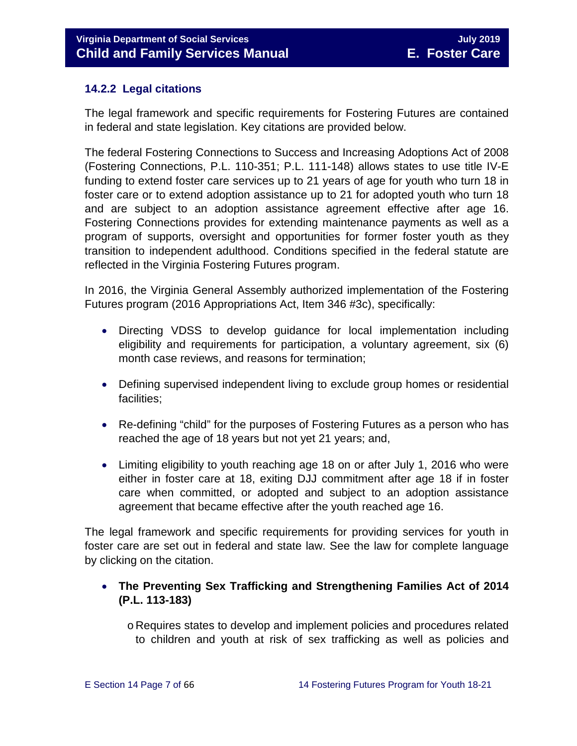#### <span id="page-6-0"></span>**14.2.2 Legal citations**

The legal framework and specific requirements for Fostering Futures are contained in federal and state legislation. Key citations are provided below.

The federal Fostering Connections to Success and Increasing Adoptions Act of 2008 (Fostering Connections, P.L. 110-351; P.L. 111-148) allows states to use title IV-E funding to extend foster care services up to 21 years of age for youth who turn 18 in foster care or to extend adoption assistance up to 21 for adopted youth who turn 18 and are subject to an adoption assistance agreement effective after age 16. Fostering Connections provides for extending maintenance payments as well as a program of supports, oversight and opportunities for former foster youth as they transition to independent adulthood. Conditions specified in the federal statute are reflected in the Virginia Fostering Futures program.

In 2016, the Virginia General Assembly authorized implementation of the Fostering Futures program (2016 Appropriations Act, Item 346 #3c), specifically:

- Directing VDSS to develop guidance for local implementation including eligibility and requirements for participation, a voluntary agreement, six (6) month case reviews, and reasons for termination;
- Defining supervised independent living to exclude group homes or residential facilities;
- Re-defining "child" for the purposes of Fostering Futures as a person who has reached the age of 18 years but not yet 21 years; and,
- Limiting eligibility to youth reaching age 18 on or after July 1, 2016 who were either in foster care at 18, exiting DJJ commitment after age 18 if in foster care when committed, or adopted and subject to an adoption assistance agreement that became effective after the youth reached age 16.

The legal framework and specific requirements for providing services for youth in foster care are set out in federal and state law. See the law for complete language by clicking on the citation.

### • **The Preventing Sex Trafficking and Strengthening Families Act of 2014 (P.L. 113-183)**

o Requires states to develop and implement policies and procedures related to children and youth at risk of sex trafficking as well as policies and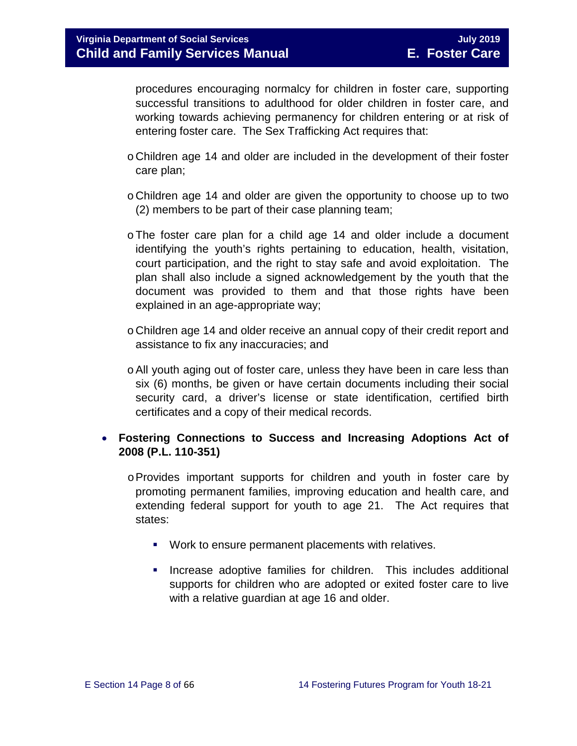procedures encouraging normalcy for children in foster care, supporting successful transitions to adulthood for older children in foster care, and working towards achieving permanency for children entering or at risk of entering foster care. The Sex Trafficking Act requires that:

- o Children age 14 and older are included in the development of their foster care plan;
- o Children age 14 and older are given the opportunity to choose up to two (2) members to be part of their case planning team;
- oThe foster care plan for a child age 14 and older include a document identifying the youth's rights pertaining to education, health, visitation, court participation, and the right to stay safe and avoid exploitation. The plan shall also include a signed acknowledgement by the youth that the document was provided to them and that those rights have been explained in an age-appropriate way;
- o Children age 14 and older receive an annual copy of their credit report and assistance to fix any inaccuracies; and
- oAll youth aging out of foster care, unless they have been in care less than six (6) months, be given or have certain documents including their social security card, a driver's license or state identification, certified birth certificates and a copy of their medical records.

#### • **Fostering Connections to Success and Increasing Adoptions Act of 2008 (P.L. 110-351)**

- $\circ$  Provides important supports for children and youth in foster care by promoting permanent families, improving education and health care, and extending federal support for youth to age 21. The Act requires that states:
	- **Work to ensure permanent placements with relatives.**
	- **Increase adoptive families for children.** This includes additional supports for children who are adopted or exited foster care to live with a relative guardian at age 16 and older.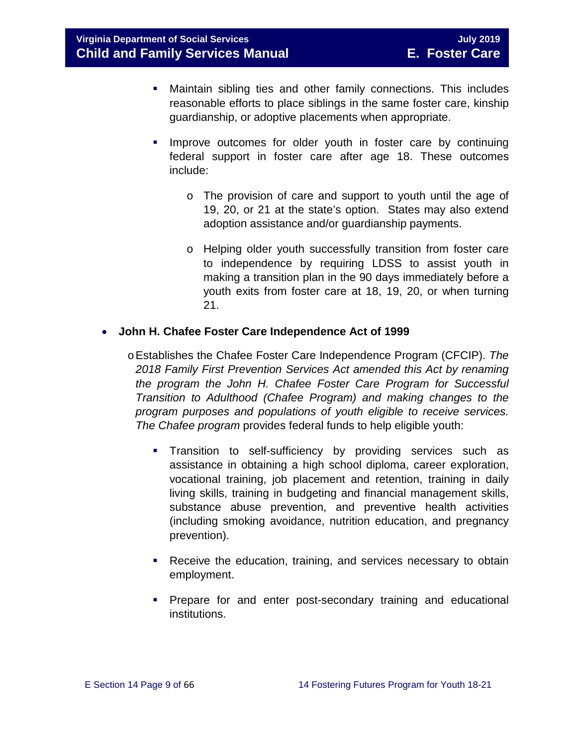- Maintain sibling ties and other family connections. This includes reasonable efforts to place siblings in the same foster care, kinship guardianship, or adoptive placements when appropriate.
- **IMPROVE OUTCOMES for older youth in foster care by continuing** federal support in foster care after age 18. These outcomes include:
	- o The provision of care and support to youth until the age of 19, 20, or 21 at the state's option. States may also extend adoption assistance and/or guardianship payments.
	- o Helping older youth successfully transition from foster care to independence by requiring LDSS to assist youth in making a transition plan in the 90 days immediately before a youth exits from foster care at 18, 19, 20, or when turning 21.

#### • **John H. Chafee Foster Care Independence Act of 1999**

- oEstablishes the Chafee Foster Care Independence Program (CFCIP). *The 2018 Family First Prevention Services Act amended this Act by renaming the program the John H. Chafee Foster Care Program for Successful Transition to Adulthood (Chafee Program) and making changes to the program purposes and populations of youth eligible to receive services. The Chafee program* provides federal funds to help eligible youth:
	- **Transition to self-sufficiency by providing services such as** assistance in obtaining a high school diploma, career exploration, vocational training, job placement and retention, training in daily living skills, training in budgeting and financial management skills, substance abuse prevention, and preventive health activities (including smoking avoidance, nutrition education, and pregnancy prevention).
	- **Receive the education, training, and services necessary to obtain** employment.
	- **Prepare for and enter post-secondary training and educational** institutions.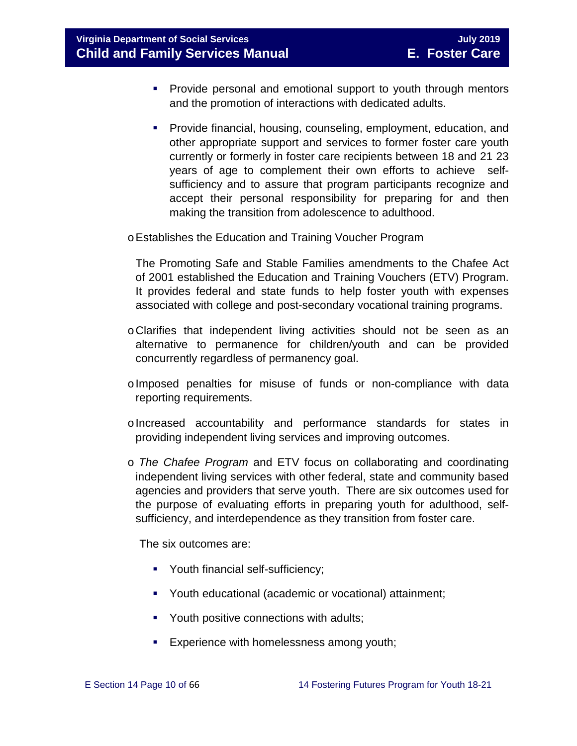**Virginia Department of Social Services** July 2019 **July 2019 Child and Family Services Manual E. Foster Care**

- **Provide personal and emotional support to youth through mentors** and the promotion of interactions with dedicated adults.
- **Provide financial, housing, counseling, employment, education, and** other appropriate support and services to former foster care youth currently or formerly in foster care recipients between 18 and 21 23 years of age to complement their own efforts to achieve selfsufficiency and to assure that program participants recognize and accept their personal responsibility for preparing for and then making the transition from adolescence to adulthood.

oEstablishes the Education and Training Voucher Program

The Promoting Safe and Stable Families amendments to the Chafee Act of 2001 established the Education and Training Vouchers (ETV) Program. It provides federal and state funds to help foster youth with expenses associated with college and post-secondary vocational training programs.

- oClarifies that independent living activities should not be seen as an alternative to permanence for children/youth and can be provided concurrently regardless of permanency goal.
- oImposed penalties for misuse of funds or non-compliance with data reporting requirements.
- oIncreased accountability and performance standards for states in providing independent living services and improving outcomes.
- o *The Chafee Program* and ETV focus on collaborating and coordinating independent living services with other federal, state and community based agencies and providers that serve youth. There are six outcomes used for the purpose of evaluating efforts in preparing youth for adulthood, selfsufficiency, and interdependence as they transition from foster care.

The six outcomes are:

- Youth financial self-sufficiency;
- Youth educational (academic or vocational) attainment;
- **Youth positive connections with adults;**
- **Experience with homelessness among youth;**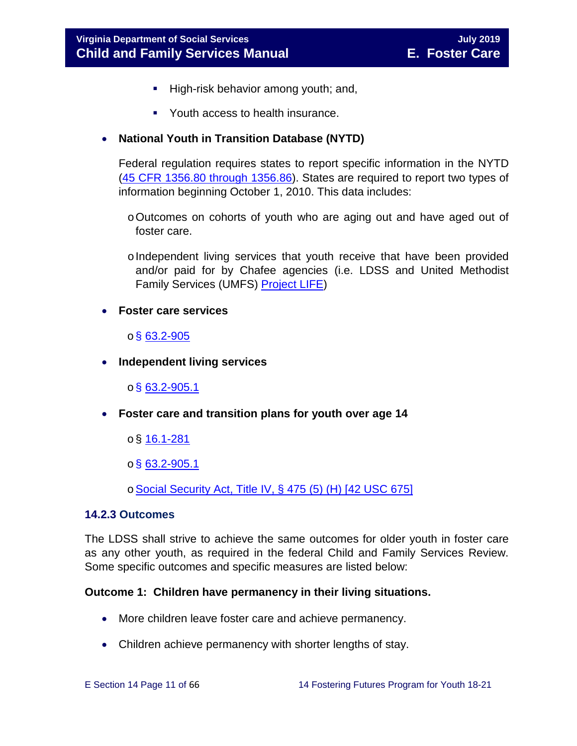- High-risk behavior among youth; and,
- Youth access to health insurance.

#### • **National Youth in Transition Database (NYTD)**

Federal regulation requires states to report specific information in the NYTD [\(45 CFR 1356.80 through 1356.86\)](http://www.ecfr.gov/cgi-bin/retrieveECFR?gp=1&SID=3d9be8b33d08994a45cff8aaff9f9476&ty=HTML&h=L&mc=true&r=PART&n=pt45.4.1356). States are required to report two types of information beginning October 1, 2010. This data includes:

- oOutcomes on cohorts of youth who are aging out and have aged out of foster care.
- $\circ$  Independent living services that youth receive that have been provided and/or paid for by Chafee agencies (i.e. LDSS and United Methodist Family Services (UMFS) [Project LIFE\)](http://www.vaprojectlife.org/)
- **Foster care services**

#### $\circ$ § [63.2-905](http://law.lis.virginia.gov/vacode/title63.2/chapter9/section63.2-905/)

• **Independent living services** 

 $o$ § [63.2-905.1](http://law.lis.virginia.gov/vacode/title63.2/chapter9/section63.2-905.1/)

- **Foster care and transition plans for youth over age 14** 
	- $\circ$ § [16.1-281](http://law.lis.virginia.gov/vacode/title16.1/chapter11/section16.1-281/)
	- $\circ$ § [63.2-905.1](http://law.lis.virginia.gov/vacode/title63.2/chapter9/section63.2-905.1/)

o[Social Security Act, Title IV, § 475 \(5\) \(H\) \[42 USC 675\]](http://www.ssa.gov/OP_Home/ssact/title04/0475.htm)

#### <span id="page-10-0"></span>**14.2.3 Outcomes**

The LDSS shall strive to achieve the same outcomes for older youth in foster care as any other youth, as required in the federal Child and Family Services Review. Some specific outcomes and specific measures are listed below:

#### **Outcome 1: Children have permanency in their living situations.**

- More children leave foster care and achieve permanency.
- Children achieve permanency with shorter lengths of stay.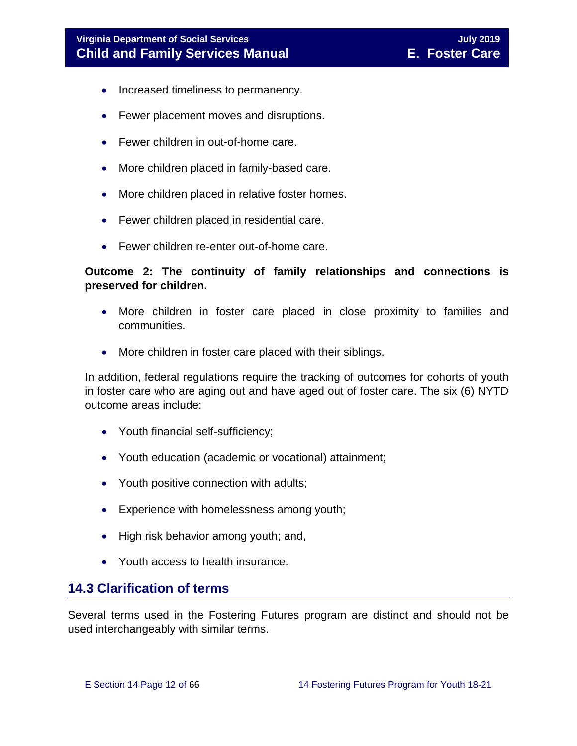- Increased timeliness to permanency.
- Fewer placement moves and disruptions.
- Fewer children in out-of-home care.
- More children placed in family-based care.
- More children placed in relative foster homes.
- Fewer children placed in residential care.
- Fewer children re-enter out-of-home care.

#### **Outcome 2: The continuity of family relationships and connections is preserved for children.**

- More children in foster care placed in close proximity to families and communities.
- More children in foster care placed with their siblings.

In addition, federal regulations require the tracking of outcomes for cohorts of youth in foster care who are aging out and have aged out of foster care. The six (6) NYTD outcome areas include:

- Youth financial self-sufficiency;
- Youth education (academic or vocational) attainment;
- Youth positive connection with adults;
- Experience with homelessness among youth;
- High risk behavior among youth; and,
- Youth access to health insurance.

### <span id="page-11-0"></span>**14.3 Clarification of terms**

Several terms used in the Fostering Futures program are distinct and should not be used interchangeably with similar terms.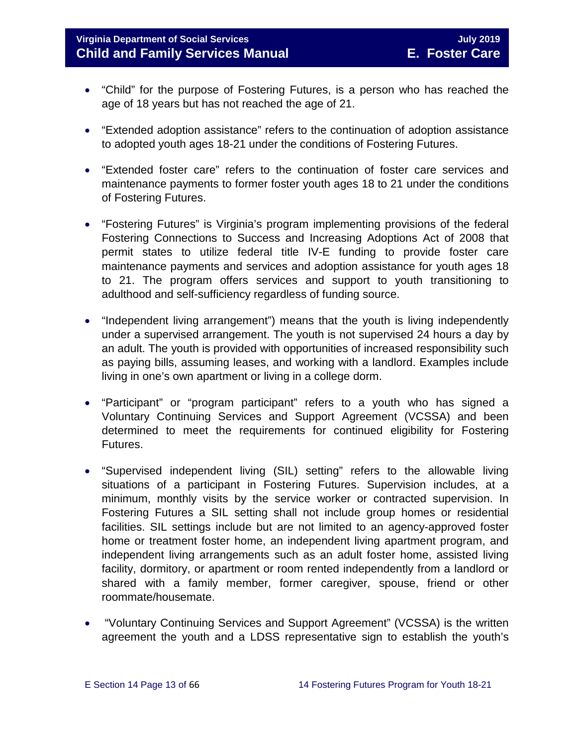# **Virginia Department of Social Services July 2019 Child and Family Services Manual E. Foster Care**

- "Child" for the purpose of Fostering Futures, is a person who has reached the age of 18 years but has not reached the age of 21.
- "Extended adoption assistance" refers to the continuation of adoption assistance to adopted youth ages 18-21 under the conditions of Fostering Futures.
- "Extended foster care" refers to the continuation of foster care services and maintenance payments to former foster youth ages 18 to 21 under the conditions of Fostering Futures.
- "Fostering Futures" is Virginia's program implementing provisions of the federal Fostering Connections to Success and Increasing Adoptions Act of 2008 that permit states to utilize federal title IV-E funding to provide foster care maintenance payments and services and adoption assistance for youth ages 18 to 21. The program offers services and support to youth transitioning to adulthood and self-sufficiency regardless of funding source.
- "Independent living arrangement") means that the youth is living independently under a supervised arrangement. The youth is not supervised 24 hours a day by an adult. The youth is provided with opportunities of increased responsibility such as paying bills, assuming leases, and working with a landlord. Examples include living in one's own apartment or living in a college dorm.
- "Participant" or "program participant" refers to a youth who has signed a Voluntary Continuing Services and Support Agreement (VCSSA) and been determined to meet the requirements for continued eligibility for Fostering Futures.
- "Supervised independent living (SIL) setting" refers to the allowable living situations of a participant in Fostering Futures. Supervision includes, at a minimum, monthly visits by the service worker or contracted supervision. In Fostering Futures a SIL setting shall not include group homes or residential facilities. SIL settings include but are not limited to an agency-approved foster home or treatment foster home, an independent living apartment program, and independent living arrangements such as an adult foster home, assisted living facility, dormitory, or apartment or room rented independently from a landlord or shared with a family member, former caregiver, spouse, friend or other roommate/housemate.
- "Voluntary Continuing Services and Support Agreement" (VCSSA) is the written agreement the youth and a LDSS representative sign to establish the youth's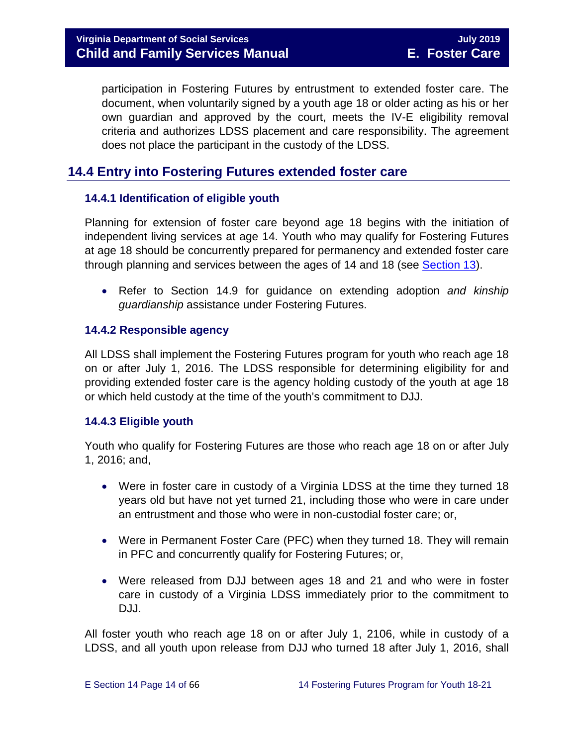participation in Fostering Futures by entrustment to extended foster care. The document, when voluntarily signed by a youth age 18 or older acting as his or her own guardian and approved by the court, meets the IV-E eligibility removal criteria and authorizes LDSS placement and care responsibility. The agreement does not place the participant in the custody of the LDSS.

# <span id="page-13-0"></span>**14.4 Entry into Fostering Futures extended foster care**

#### <span id="page-13-1"></span>**14.4.1 Identification of eligible youth**

Planning for extension of foster care beyond age 18 begins with the initiation of independent living services at age 14. Youth who may qualify for Fostering Futures at age 18 should be concurrently prepared for permanency and extended foster care through planning and services between the ages of 14 and 18 (see [Section](https://fusion.dss.virginia.gov/Portals/%5bdfs%5d/Files/DFS%20Manuals/Foster%20Care%20Manuals/Foster%20Care%20Manual%2007-2019/Section_13_achieving_permanency_for_older_youth.pdf) 13).

• Refer to Section 14.9 for guidance on extending adoption *and kinship guardianship* assistance under Fostering Futures.

#### <span id="page-13-2"></span>**14.4.2 Responsible agency**

All LDSS shall implement the Fostering Futures program for youth who reach age 18 on or after July 1, 2016. The LDSS responsible for determining eligibility for and providing extended foster care is the agency holding custody of the youth at age 18 or which held custody at the time of the youth's commitment to DJJ.

#### <span id="page-13-3"></span>**14.4.3 Eligible youth**

Youth who qualify for Fostering Futures are those who reach age 18 on or after July 1, 2016; and,

- Were in foster care in custody of a Virginia LDSS at the time they turned 18 years old but have not yet turned 21, including those who were in care under an entrustment and those who were in non-custodial foster care; or,
- Were in Permanent Foster Care (PFC) when they turned 18. They will remain in PFC and concurrently qualify for Fostering Futures; or,
- Were released from DJJ between ages 18 and 21 and who were in foster care in custody of a Virginia LDSS immediately prior to the commitment to DJJ.

All foster youth who reach age 18 on or after July 1, 2106, while in custody of a LDSS, and all youth upon release from DJJ who turned 18 after July 1, 2016, shall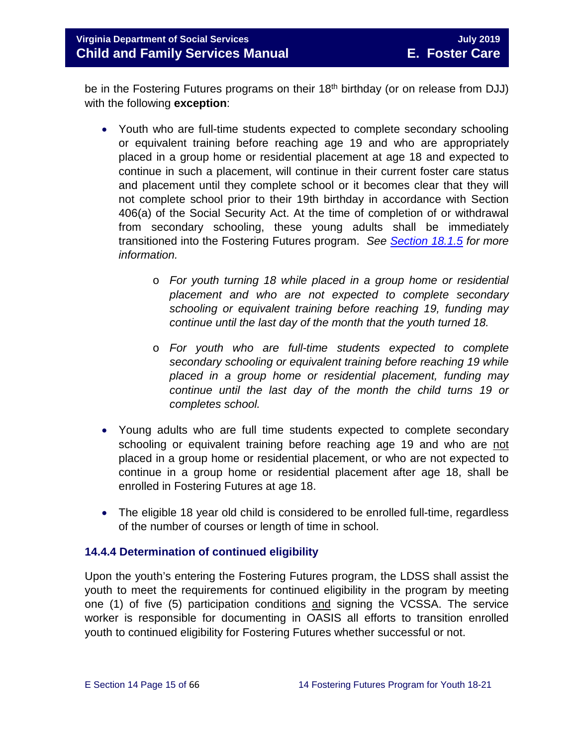be in the Fostering Futures programs on their 18<sup>th</sup> birthday (or on release from DJJ) with the following **exception**:

- Youth who are full-time students expected to complete secondary schooling or equivalent training before reaching age 19 and who are appropriately placed in a group home or residential placement at age 18 and expected to continue in such a placement, will continue in their current foster care status and placement until they complete school or it becomes clear that they will not complete school prior to their 19th birthday in accordance with Section 406(a) of the Social Security Act. At the time of completion of or withdrawal from secondary schooling, these young adults shall be immediately transitioned into the Fostering Futures program. *See [Section 18.1.5](https://fusion.dss.virginia.gov/Portals/%5bdfs%5d/Files/DFS%20Manuals/Foster%20Care%20Manuals/Foster%20Care%20Manual%2007-2019/section_18_funding_maintenance_costs.pdf#page=7) for more information.*
	- o *For youth turning 18 while placed in a group home or residential placement and who are not expected to complete secondary schooling or equivalent training before reaching 19, funding may continue until the last day of the month that the youth turned 18.*
	- o *For youth who are full-time students expected to complete secondary schooling or equivalent training before reaching 19 while placed in a group home or residential placement, funding may continue until the last day of the month the child turns 19 or completes school.*
- Young adults who are full time students expected to complete secondary schooling or equivalent training before reaching age 19 and who are not placed in a group home or residential placement, or who are not expected to continue in a group home or residential placement after age 18, shall be enrolled in Fostering Futures at age 18.
- The eligible 18 year old child is considered to be enrolled full-time, regardless of the number of courses or length of time in school.

#### <span id="page-14-0"></span>**14.4.4 Determination of continued eligibility**

Upon the youth's entering the Fostering Futures program, the LDSS shall assist the youth to meet the requirements for continued eligibility in the program by meeting one (1) of five (5) participation conditions and signing the VCSSA. The service worker is responsible for documenting in OASIS all efforts to transition enrolled youth to continued eligibility for Fostering Futures whether successful or not.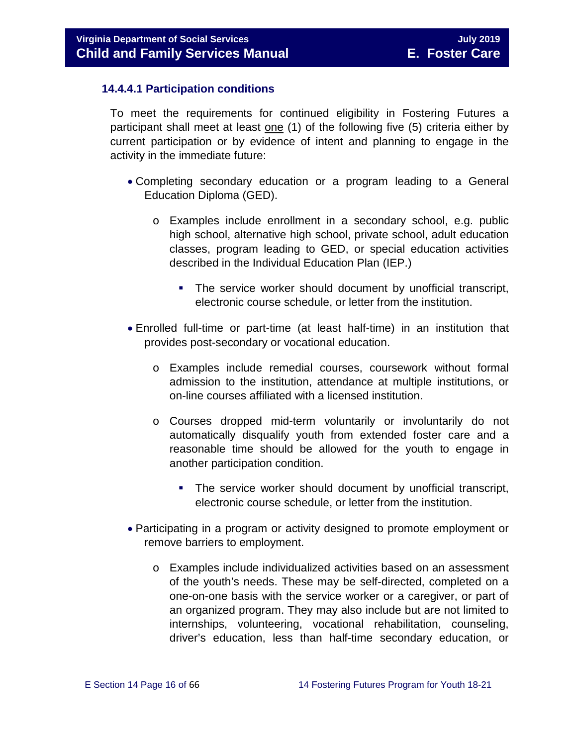#### **14.4.4.1 Participation conditions**

To meet the requirements for continued eligibility in Fostering Futures a participant shall meet at least one (1) of the following five (5) criteria either by current participation or by evidence of intent and planning to engage in the activity in the immediate future:

- Completing secondary education or a program leading to a General Education Diploma (GED).
	- o Examples include enrollment in a secondary school, e.g. public high school, alternative high school, private school, adult education classes, program leading to GED, or special education activities described in the Individual Education Plan (IEP.)
		- The service worker should document by unofficial transcript, electronic course schedule, or letter from the institution.
- Enrolled full-time or part-time (at least half-time) in an institution that provides post-secondary or vocational education.
	- o Examples include remedial courses, coursework without formal admission to the institution, attendance at multiple institutions, or on-line courses affiliated with a licensed institution.
	- o Courses dropped mid-term voluntarily or involuntarily do not automatically disqualify youth from extended foster care and a reasonable time should be allowed for the youth to engage in another participation condition.
		- The service worker should document by unofficial transcript, electronic course schedule, or letter from the institution.
- Participating in a program or activity designed to promote employment or remove barriers to employment.
	- o Examples include individualized activities based on an assessment of the youth's needs. These may be self-directed, completed on a one-on-one basis with the service worker or a caregiver, or part of an organized program. They may also include but are not limited to internships, volunteering, vocational rehabilitation, counseling, driver's education, less than half-time secondary education, or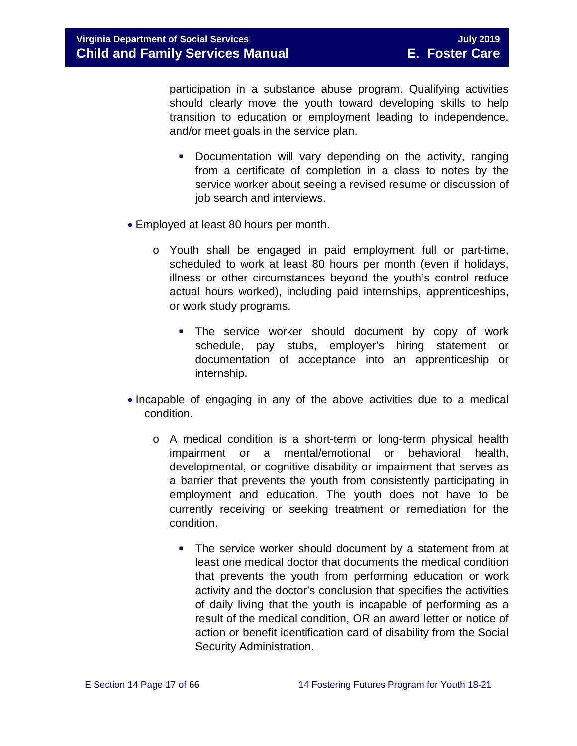participation in a substance abuse program. Qualifying activities should clearly move the youth toward developing skills to help transition to education or employment leading to independence, and/or meet goals in the service plan.

- **Documentation will vary depending on the activity, ranging** from a certificate of completion in a class to notes by the service worker about seeing a revised resume or discussion of job search and interviews.
- Employed at least 80 hours per month.
	- o Youth shall be engaged in paid employment full or part-time, scheduled to work at least 80 hours per month (even if holidays, illness or other circumstances beyond the youth's control reduce actual hours worked), including paid internships, apprenticeships, or work study programs.
		- **The service worker should document by copy of work** schedule, pay stubs, employer's hiring statement or documentation of acceptance into an apprenticeship or internship.
- Incapable of engaging in any of the above activities due to a medical condition.
	- o A medical condition is a short-term or long-term physical health impairment or a mental/emotional or behavioral health, developmental, or cognitive disability or impairment that serves as a barrier that prevents the youth from consistently participating in employment and education. The youth does not have to be currently receiving or seeking treatment or remediation for the condition.
		- **The service worker should document by a statement from at** least one medical doctor that documents the medical condition that prevents the youth from performing education or work activity and the doctor's conclusion that specifies the activities of daily living that the youth is incapable of performing as a result of the medical condition, OR an award letter or notice of action or benefit identification card of disability from the Social Security Administration.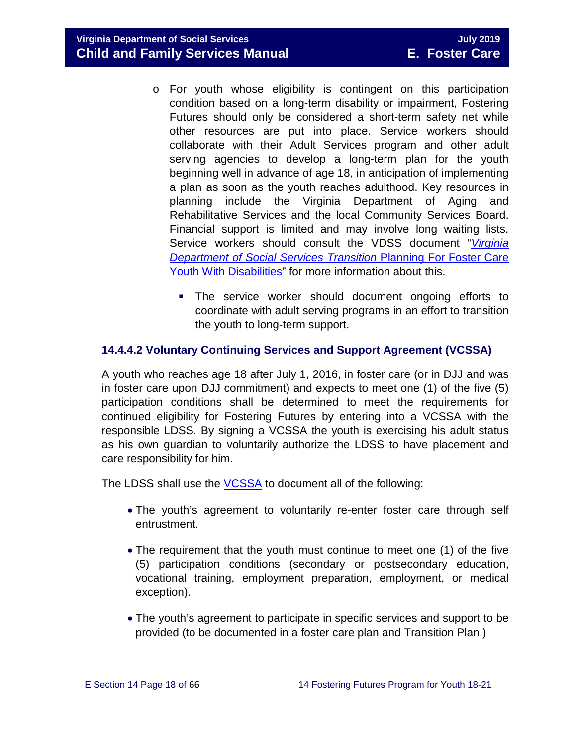**Virginia Department of Social Services** July 2019 **Child and Family Services Manual E. Foster Care**

- o For youth whose eligibility is contingent on this participation condition based on a long-term disability or impairment, Fostering Futures should only be considered a short-term safety net while other resources are put into place. Service workers should collaborate with their Adult Services program and other adult serving agencies to develop a long-term plan for the youth beginning well in advance of age 18, in anticipation of implementing a plan as soon as the youth reaches adulthood. Key resources in planning include the Virginia Department of Aging and Rehabilitative Services and the local Community Services Board. Financial support is limited and may involve long waiting lists. Service workers should consult the VDSS document "*[Virginia](http://spark.dss.virginia.gov/divisions/dfs/fc/files/guidance_procedures_faq/guidance_procedures/tranistion_plan_disabilities.pdf)  [Department of Social Services Transition](http://spark.dss.virginia.gov/divisions/dfs/fc/files/guidance_procedures_faq/guidance_procedures/tranistion_plan_disabilities.pdf)* Planning For Foster Care [Youth With Disabilities"](http://spark.dss.virginia.gov/divisions/dfs/fc/files/guidance_procedures_faq/guidance_procedures/tranistion_plan_disabilities.pdf) for more information about this.
	- The service worker should document ongoing efforts to coordinate with adult serving programs in an effort to transition the youth to long-term support.

#### <span id="page-17-0"></span>**14.4.4.2 Voluntary Continuing Services and Support Agreement (VCSSA)**

A youth who reaches age 18 after July 1, 2016, in foster care (or in DJJ and was in foster care upon DJJ commitment) and expects to meet one (1) of the five (5) participation conditions shall be determined to meet the requirements for continued eligibility for Fostering Futures by entering into a VCSSA with the responsible LDSS. By signing a VCSSA the youth is exercising his adult status as his own guardian to voluntarily authorize the LDSS to have placement and care responsibility for him.

The LDSS shall use the [VCSSA](https://fusion.dss.virginia.gov/Portals/%5Bdfs%5D/Files/DFS%20FORMS/Foster%20Care%20Forms/Fostering%20Futures%20Voluntary%20Continuing%20Services%20and%20Support%20Agreement.pdf) to document all of the following:

- The youth's agreement to voluntarily re-enter foster care through self entrustment.
- The requirement that the youth must continue to meet one (1) of the five (5) participation conditions (secondary or postsecondary education, vocational training, employment preparation, employment, or medical exception).
- The youth's agreement to participate in specific services and support to be provided (to be documented in a foster care plan and Transition Plan.)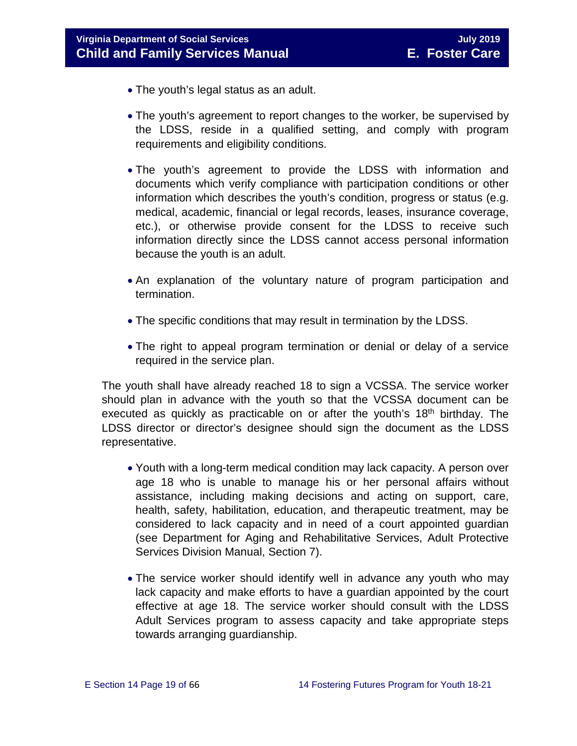- The youth's legal status as an adult.
- The youth's agreement to report changes to the worker, be supervised by the LDSS, reside in a qualified setting, and comply with program requirements and eligibility conditions.
- The youth's agreement to provide the LDSS with information and documents which verify compliance with participation conditions or other information which describes the youth's condition, progress or status (e.g. medical, academic, financial or legal records, leases, insurance coverage, etc.), or otherwise provide consent for the LDSS to receive such information directly since the LDSS cannot access personal information because the youth is an adult.
- An explanation of the voluntary nature of program participation and termination.
- The specific conditions that may result in termination by the LDSS.
- The right to appeal program termination or denial or delay of a service required in the service plan.

The youth shall have already reached 18 to sign a VCSSA. The service worker should plan in advance with the youth so that the VCSSA document can be executed as quickly as practicable on or after the youth's  $18<sup>th</sup>$  birthday. The LDSS director or director's designee should sign the document as the LDSS representative.

- Youth with a long-term medical condition may lack capacity. A person over age 18 who is unable to manage his or her personal affairs without assistance, including making decisions and acting on support, care, health, safety, habilitation, education, and therapeutic treatment, may be considered to lack capacity and in need of a court appointed guardian (see Department for Aging and Rehabilitative Services, Adult Protective Services Division Manual, Section 7).
- The service worker should identify well in advance any youth who may lack capacity and make efforts to have a guardian appointed by the court effective at age 18. The service worker should consult with the LDSS Adult Services program to assess capacity and take appropriate steps towards arranging guardianship.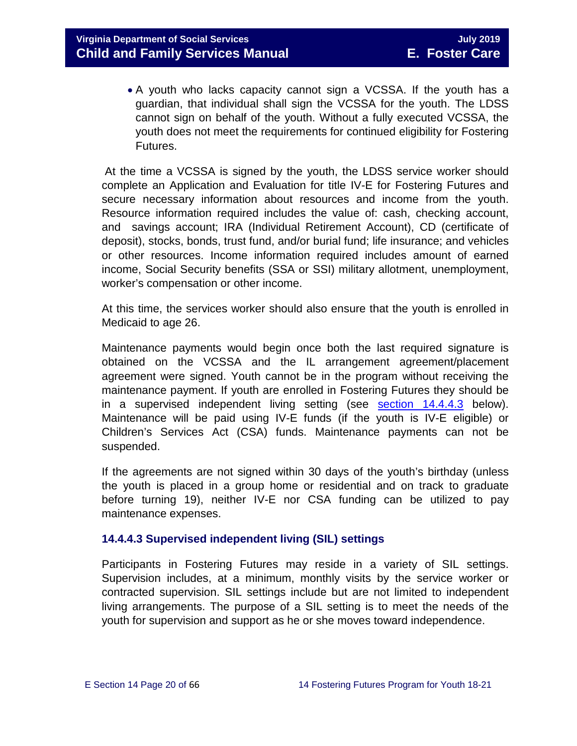• A youth who lacks capacity cannot sign a VCSSA. If the youth has a guardian, that individual shall sign the VCSSA for the youth. The LDSS cannot sign on behalf of the youth. Without a fully executed VCSSA, the youth does not meet the requirements for continued eligibility for Fostering Futures.

At the time a VCSSA is signed by the youth, the LDSS service worker should complete an Application and Evaluation for title IV-E for Fostering Futures and secure necessary information about resources and income from the youth. Resource information required includes the value of: cash, checking account, and savings account; IRA (Individual Retirement Account), CD (certificate of deposit), stocks, bonds, trust fund, and/or burial fund; life insurance; and vehicles or other resources. Income information required includes amount of earned income, Social Security benefits (SSA or SSI) military allotment, unemployment, worker's compensation or other income.

At this time, the services worker should also ensure that the youth is enrolled in Medicaid to age 26.

Maintenance payments would begin once both the last required signature is obtained on the VCSSA and the IL arrangement agreement/placement agreement were signed. Youth cannot be in the program without receiving the maintenance payment. If youth are enrolled in Fostering Futures they should be in a supervised independent living setting (see [section 14.4.4.3](#page-17-0) below). Maintenance will be paid using IV-E funds (if the youth is IV-E eligible) or Children's Services Act (CSA) funds. Maintenance payments can not be suspended.

If the agreements are not signed within 30 days of the youth's birthday (unless the youth is placed in a group home or residential and on track to graduate before turning 19), neither IV-E nor CSA funding can be utilized to pay maintenance expenses.

#### **14.4.4.3 Supervised independent living (SIL) settings**

Participants in Fostering Futures may reside in a variety of SIL settings. Supervision includes, at a minimum, monthly visits by the service worker or contracted supervision. SIL settings include but are not limited to independent living arrangements. The purpose of a SIL setting is to meet the needs of the youth for supervision and support as he or she moves toward independence.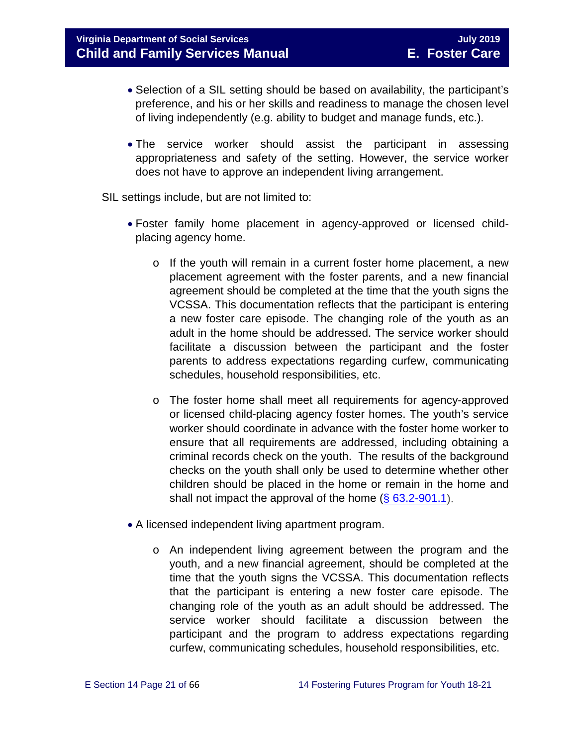- Selection of a SIL setting should be based on availability, the participant's preference, and his or her skills and readiness to manage the chosen level of living independently (e.g. ability to budget and manage funds, etc.).
- The service worker should assist the participant in assessing appropriateness and safety of the setting. However, the service worker does not have to approve an independent living arrangement.

SIL settings include, but are not limited to:

- Foster family home placement in agency-approved or licensed childplacing agency home.
	- o If the youth will remain in a current foster home placement, a new placement agreement with the foster parents, and a new financial agreement should be completed at the time that the youth signs the VCSSA. This documentation reflects that the participant is entering a new foster care episode. The changing role of the youth as an adult in the home should be addressed. The service worker should facilitate a discussion between the participant and the foster parents to address expectations regarding curfew, communicating schedules, household responsibilities, etc.
	- o The foster home shall meet all requirements for agency-approved or licensed child-placing agency foster homes. The youth's service worker should coordinate in advance with the foster home worker to ensure that all requirements are addressed, including obtaining a criminal records check on the youth. The results of the background checks on the youth shall only be used to determine whether other children should be placed in the home or remain in the home and shall not impact the approval of the home  $(\S 63.2-901.1)$ .
- A licensed independent living apartment program.
	- o An independent living agreement between the program and the youth, and a new financial agreement, should be completed at the time that the youth signs the VCSSA. This documentation reflects that the participant is entering a new foster care episode. The changing role of the youth as an adult should be addressed. The service worker should facilitate a discussion between the participant and the program to address expectations regarding curfew, communicating schedules, household responsibilities, etc.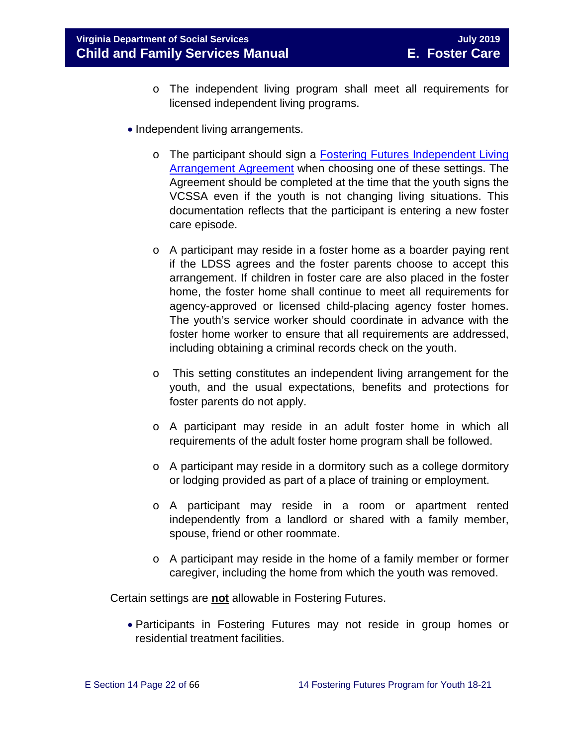- o The independent living program shall meet all requirements for licensed independent living programs.
- Independent living arrangements.
	- o The participant should sign a **Fostering Futures [Independent Living](https://fusion.dss.virginia.gov/dfs/DFS-Home/Foster-Care/Foster-Care-Forms)** [Arrangement Agreement](https://fusion.dss.virginia.gov/dfs/DFS-Home/Foster-Care/Foster-Care-Forms) when choosing one of these settings. The Agreement should be completed at the time that the youth signs the VCSSA even if the youth is not changing living situations. This documentation reflects that the participant is entering a new foster care episode.
	- o A participant may reside in a foster home as a boarder paying rent if the LDSS agrees and the foster parents choose to accept this arrangement. If children in foster care are also placed in the foster home, the foster home shall continue to meet all requirements for agency-approved or licensed child-placing agency foster homes. The youth's service worker should coordinate in advance with the foster home worker to ensure that all requirements are addressed, including obtaining a criminal records check on the youth.
	- o This setting constitutes an independent living arrangement for the youth, and the usual expectations, benefits and protections for foster parents do not apply.
	- o A participant may reside in an adult foster home in which all requirements of the adult foster home program shall be followed.
	- o A participant may reside in a dormitory such as a college dormitory or lodging provided as part of a place of training or employment.
	- o A participant may reside in a room or apartment rented independently from a landlord or shared with a family member, spouse, friend or other roommate.
	- o A participant may reside in the home of a family member or former caregiver, including the home from which the youth was removed.

Certain settings are **not** allowable in Fostering Futures.

• Participants in Fostering Futures may not reside in group homes or residential treatment facilities.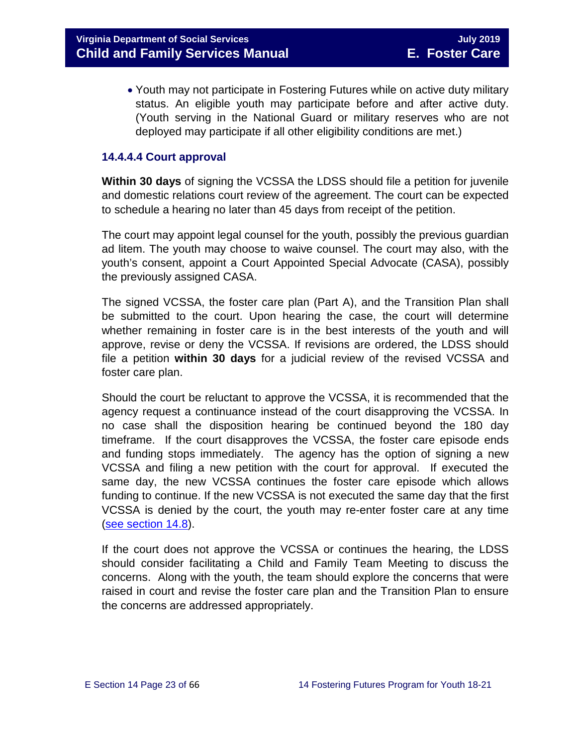• Youth may not participate in Fostering Futures while on active duty military status. An eligible youth may participate before and after active duty. (Youth serving in the National Guard or military reserves who are not deployed may participate if all other eligibility conditions are met.)

#### **14.4.4.4 Court approval**

**Within 30 days** of signing the VCSSA the LDSS should file a petition for juvenile and domestic relations court review of the agreement. The court can be expected to schedule a hearing no later than 45 days from receipt of the petition.

The court may appoint legal counsel for the youth, possibly the previous guardian ad litem. The youth may choose to waive counsel. The court may also, with the youth's consent, appoint a Court Appointed Special Advocate (CASA), possibly the previously assigned CASA.

The signed VCSSA, the foster care plan (Part A), and the Transition Plan shall be submitted to the court. Upon hearing the case, the court will determine whether remaining in foster care is in the best interests of the youth and will approve, revise or deny the VCSSA. If revisions are ordered, the LDSS should file a petition **within 30 days** for a judicial review of the revised VCSSA and foster care plan.

Should the court be reluctant to approve the VCSSA, it is recommended that the agency request a continuance instead of the court disapproving the VCSSA. In no case shall the disposition hearing be continued beyond the 180 day timeframe. If the court disapproves the VCSSA, the foster care episode ends and funding stops immediately. The agency has the option of signing a new VCSSA and filing a new petition with the court for approval. If executed the same day, the new VCSSA continues the foster care episode which allows funding to continue. If the new VCSSA is not executed the same day that the first VCSSA is denied by the court, the youth may re-enter foster care at any time [\(see section 14.8\)](#page-34-1).

If the court does not approve the VCSSA or continues the hearing, the LDSS should consider facilitating a Child and Family Team Meeting to discuss the concerns. Along with the youth, the team should explore the concerns that were raised in court and revise the foster care plan and the Transition Plan to ensure the concerns are addressed appropriately.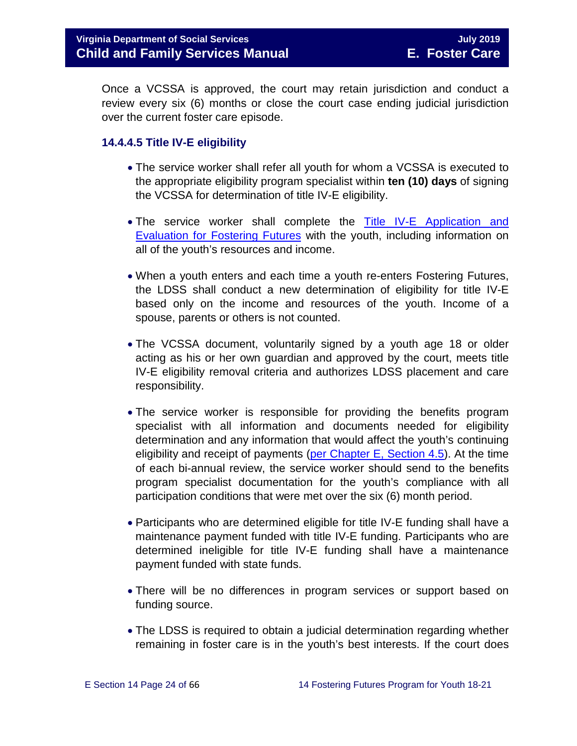Once a VCSSA is approved, the court may retain jurisdiction and conduct a review every six (6) months or close the court case ending judicial jurisdiction over the current foster care episode.

#### **14.4.4.5 Title IV-E eligibility**

- The service worker shall refer all youth for whom a VCSSA is executed to the appropriate eligibility program specialist within **ten (10) days** of signing the VCSSA for determination of title IV-E eligibility.
- The service worker shall complete the Title IV-E Application and [Evaluation for Fostering Futures](https://fusion.dss.virginia.gov/Portals/%5Bdfs%5D/Files/Copy%20of%20Title_IV-E_Application_and_Evaluation_for_Fostering_Futures2017.xlsx) with the youth, including information on all of the youth's resources and income.
- When a youth enters and each time a youth re-enters Fostering Futures, the LDSS shall conduct a new determination of eligibility for title IV-E based only on the income and resources of the youth. Income of a spouse, parents or others is not counted.
- The VCSSA document, voluntarily signed by a youth age 18 or older acting as his or her own guardian and approved by the court, meets title IV-E eligibility removal criteria and authorizes LDSS placement and care responsibility.
- The service worker is responsible for providing the benefits program specialist with all information and documents needed for eligibility determination and any information that would affect the youth's continuing eligibility and receipt of payments (per Chapter [E, Section 4.5\)](https://fusion.dss.virginia.gov/Portals/%5Bdfs%5D/Files/DFS%20Manuals/Foster%20Care%20Manuals/Foster%20Care%20Manual%2007-2019/section_4_opening_and_maintaining_case.pdf#page=7). At the time of each bi-annual review, the service worker should send to the benefits program specialist documentation for the youth's compliance with all participation conditions that were met over the six (6) month period.
- Participants who are determined eligible for title IV-E funding shall have a maintenance payment funded with title IV-E funding. Participants who are determined ineligible for title IV-E funding shall have a maintenance payment funded with state funds.
- There will be no differences in program services or support based on funding source.
- The LDSS is required to obtain a judicial determination regarding whether remaining in foster care is in the youth's best interests. If the court does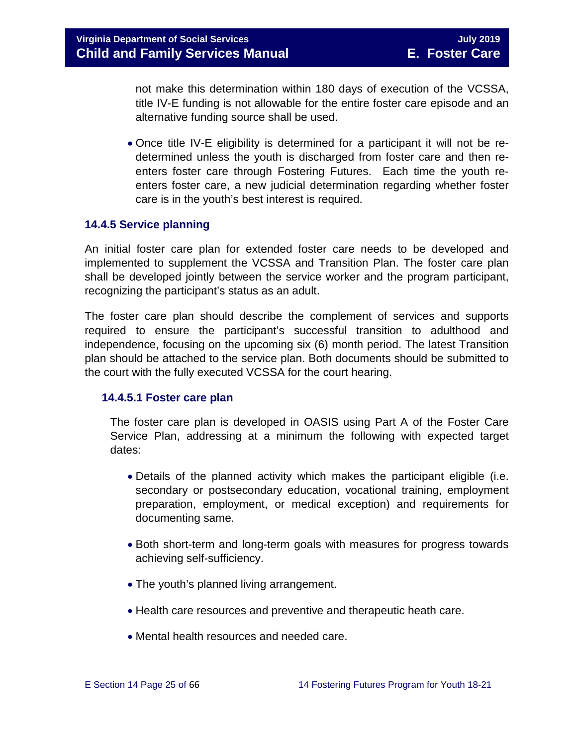not make this determination within 180 days of execution of the VCSSA, title IV-E funding is not allowable for the entire foster care episode and an alternative funding source shall be used.

• Once title IV-E eligibility is determined for a participant it will not be redetermined unless the youth is discharged from foster care and then reenters foster care through Fostering Futures. Each time the youth reenters foster care, a new judicial determination regarding whether foster care is in the youth's best interest is required.

#### <span id="page-24-0"></span>**14.4.5 Service planning**

An initial foster care plan for extended foster care needs to be developed and implemented to supplement the VCSSA and Transition Plan. The foster care plan shall be developed jointly between the service worker and the program participant, recognizing the participant's status as an adult.

The foster care plan should describe the complement of services and supports required to ensure the participant's successful transition to adulthood and independence, focusing on the upcoming six (6) month period. The latest Transition plan should be attached to the service plan. Both documents should be submitted to the court with the fully executed VCSSA for the court hearing.

#### **14.4.5.1 Foster care plan**

The foster care plan is developed in OASIS using Part A of the Foster Care Service Plan, addressing at a minimum the following with expected target dates:

- Details of the planned activity which makes the participant eligible (i.e. secondary or postsecondary education, vocational training, employment preparation, employment, or medical exception) and requirements for documenting same.
- Both short-term and long-term goals with measures for progress towards achieving self-sufficiency.
- The youth's planned living arrangement.
- Health care resources and preventive and therapeutic heath care.
- Mental health resources and needed care.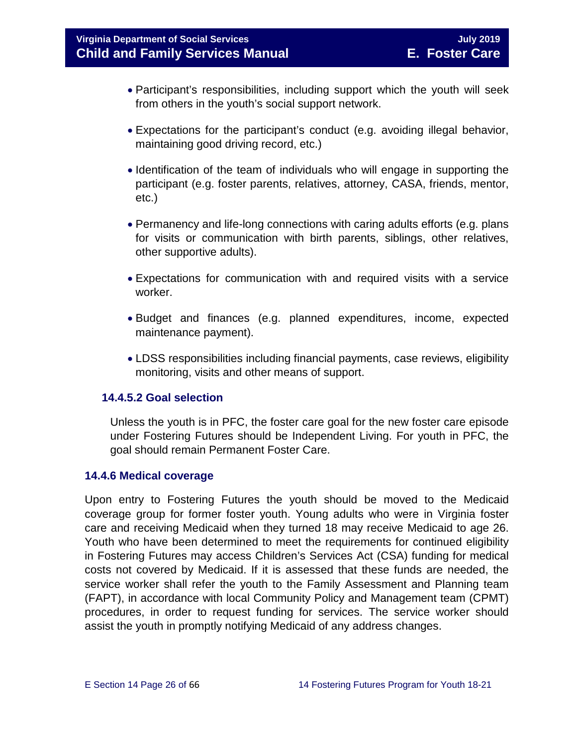- Participant's responsibilities, including support which the youth will seek from others in the youth's social support network.
- Expectations for the participant's conduct (e.g. avoiding illegal behavior, maintaining good driving record, etc.)
- Identification of the team of individuals who will engage in supporting the participant (e.g. foster parents, relatives, attorney, CASA, friends, mentor, etc.)
- Permanency and life-long connections with caring adults efforts (e.g. plans for visits or communication with birth parents, siblings, other relatives, other supportive adults).
- Expectations for communication with and required visits with a service worker.
- Budget and finances (e.g. planned expenditures, income, expected maintenance payment).
- LDSS responsibilities including financial payments, case reviews, eligibility monitoring, visits and other means of support.

#### **14.4.5.2 Goal selection**

Unless the youth is in PFC, the foster care goal for the new foster care episode under Fostering Futures should be Independent Living. For youth in PFC, the goal should remain Permanent Foster Care.

#### <span id="page-25-0"></span>**14.4.6 Medical coverage**

Upon entry to Fostering Futures the youth should be moved to the Medicaid coverage group for former foster youth. Young adults who were in Virginia foster care and receiving Medicaid when they turned 18 may receive Medicaid to age 26. Youth who have been determined to meet the requirements for continued eligibility in Fostering Futures may access Children's Services Act (CSA) funding for medical costs not covered by Medicaid. If it is assessed that these funds are needed, the service worker shall refer the youth to the Family Assessment and Planning team (FAPT), in accordance with local Community Policy and Management team (CPMT) procedures, in order to request funding for services. The service worker should assist the youth in promptly notifying Medicaid of any address changes.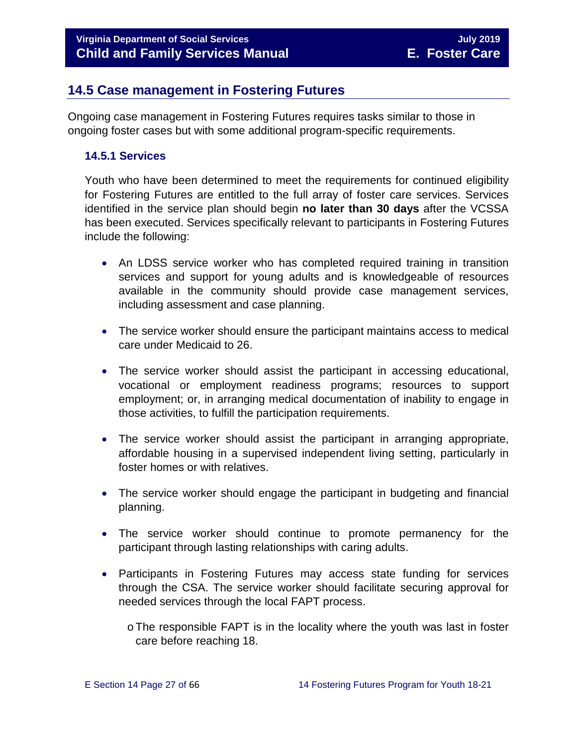# <span id="page-26-0"></span>**14.5 Case management in Fostering Futures**

Ongoing case management in Fostering Futures requires tasks similar to those in ongoing foster cases but with some additional program-specific requirements.

#### <span id="page-26-1"></span>**14.5.1 Services**

Youth who have been determined to meet the requirements for continued eligibility for Fostering Futures are entitled to the full array of foster care services. Services identified in the service plan should begin **no later than 30 days** after the VCSSA has been executed. Services specifically relevant to participants in Fostering Futures include the following:

- An LDSS service worker who has completed required training in transition services and support for young adults and is knowledgeable of resources available in the community should provide case management services, including assessment and case planning.
- The service worker should ensure the participant maintains access to medical care under Medicaid to 26.
- The service worker should assist the participant in accessing educational, vocational or employment readiness programs; resources to support employment; or, in arranging medical documentation of inability to engage in those activities, to fulfill the participation requirements.
- The service worker should assist the participant in arranging appropriate, affordable housing in a supervised independent living setting, particularly in foster homes or with relatives.
- The service worker should engage the participant in budgeting and financial planning.
- The service worker should continue to promote permanency for the participant through lasting relationships with caring adults.
- Participants in Fostering Futures may access state funding for services through the CSA. The service worker should facilitate securing approval for needed services through the local FAPT process.
	- oThe responsible FAPT is in the locality where the youth was last in foster care before reaching 18.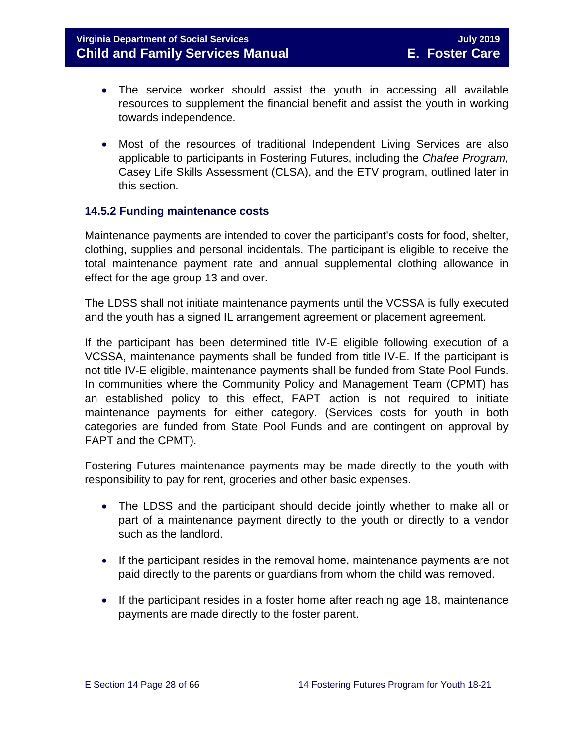- The service worker should assist the youth in accessing all available resources to supplement the financial benefit and assist the youth in working towards independence.
- Most of the resources of traditional Independent Living Services are also applicable to participants in Fostering Futures, including the *Chafee Program,* Casey Life Skills Assessment (CLSA), and the ETV program, outlined later in this section.

#### <span id="page-27-0"></span>**14.5.2 Funding maintenance costs**

Maintenance payments are intended to cover the participant's costs for food, shelter, clothing, supplies and personal incidentals. The participant is eligible to receive the total maintenance payment rate and annual supplemental clothing allowance in effect for the age group 13 and over.

The LDSS shall not initiate maintenance payments until the VCSSA is fully executed and the youth has a signed IL arrangement agreement or placement agreement.

If the participant has been determined title IV-E eligible following execution of a VCSSA, maintenance payments shall be funded from title IV-E. If the participant is not title IV-E eligible, maintenance payments shall be funded from State Pool Funds. In communities where the Community Policy and Management Team (CPMT) has an established policy to this effect, FAPT action is not required to initiate maintenance payments for either category. (Services costs for youth in both categories are funded from State Pool Funds and are contingent on approval by FAPT and the CPMT).

Fostering Futures maintenance payments may be made directly to the youth with responsibility to pay for rent, groceries and other basic expenses.

- The LDSS and the participant should decide jointly whether to make all or part of a maintenance payment directly to the youth or directly to a vendor such as the landlord.
- If the participant resides in the removal home, maintenance payments are not paid directly to the parents or guardians from whom the child was removed.
- If the participant resides in a foster home after reaching age 18, maintenance payments are made directly to the foster parent.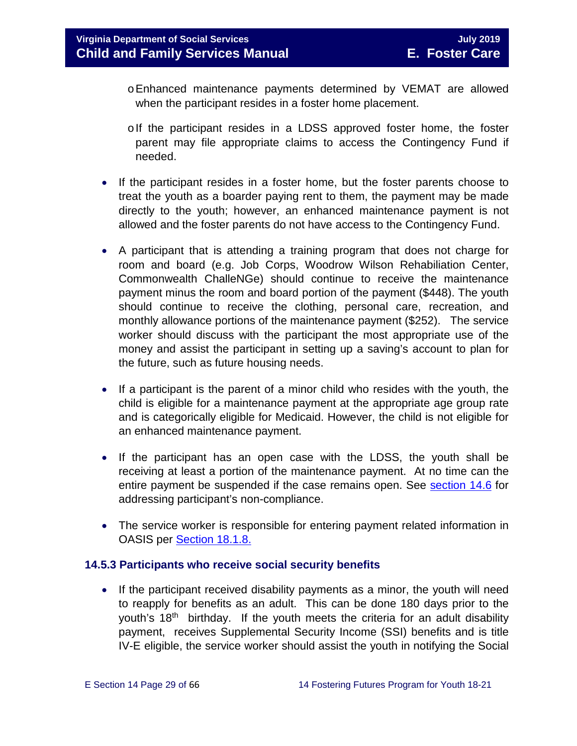- oEnhanced maintenance payments determined by VEMAT are allowed when the participant resides in a foster home placement.
- olf the participant resides in a LDSS approved foster home, the foster parent may file appropriate claims to access the Contingency Fund if needed.
- If the participant resides in a foster home, but the foster parents choose to treat the youth as a boarder paying rent to them, the payment may be made directly to the youth; however, an enhanced maintenance payment is not allowed and the foster parents do not have access to the Contingency Fund.
- A participant that is attending a training program that does not charge for room and board (e.g. Job Corps, Woodrow Wilson Rehabiliation Center, Commonwealth ChalleNGe) should continue to receive the maintenance payment minus the room and board portion of the payment (\$448). The youth should continue to receive the clothing, personal care, recreation, and monthly allowance portions of the maintenance payment (\$252). The service worker should discuss with the participant the most appropriate use of the money and assist the participant in setting up a saving's account to plan for the future, such as future housing needs.
- If a participant is the parent of a minor child who resides with the youth, the child is eligible for a maintenance payment at the appropriate age group rate and is categorically eligible for Medicaid. However, the child is not eligible for an enhanced maintenance payment.
- If the participant has an open case with the LDSS, the youth shall be receiving at least a portion of the maintenance payment. At no time can the entire payment be suspended if the case remains open. See [section 14.6](#page-31-1) for addressing participant's non-compliance.
- The service worker is responsible for entering payment related information in OASIS per [Section 18.1.8.](https://fusion.dss.virginia.gov/Portals/%5bdfs%5d/Files/DFS%20Manuals/Foster%20Care%20Manuals/Foster%20Care%20Manual%2007-2019/section_18_funding_maintenance_costs.pdf#page=9)

#### <span id="page-28-0"></span>**14.5.3 Participants who receive social security benefits**

• If the participant received disability payments as a minor, the youth will need to reapply for benefits as an adult. This can be done 180 days prior to the youth's 18<sup>th</sup> birthday. If the youth meets the criteria for an adult disability payment, receives Supplemental Security Income (SSI) benefits and is title IV-E eligible, the service worker should assist the youth in notifying the Social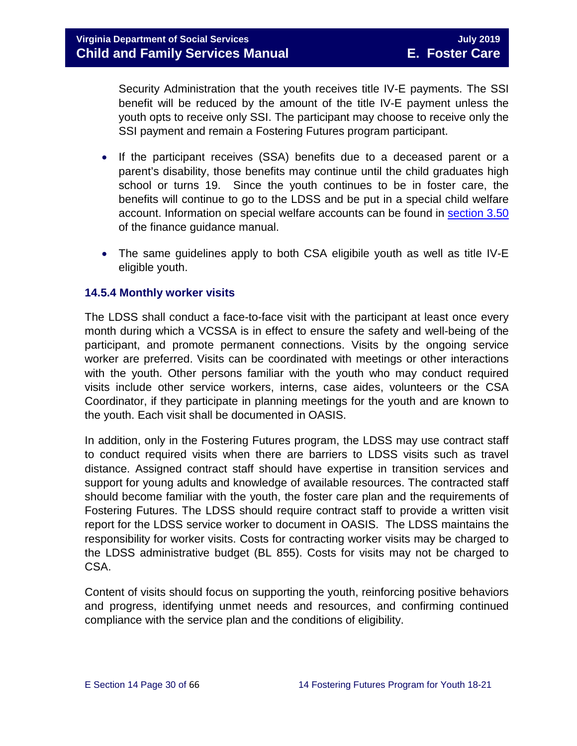Security Administration that the youth receives title IV-E payments. The SSI benefit will be reduced by the amount of the title IV-E payment unless the youth opts to receive only SSI. The participant may choose to receive only the SSI payment and remain a Fostering Futures program participant.

- If the participant receives (SSA) benefits due to a deceased parent or a parent's disability, those benefits may continue until the child graduates high school or turns 19. Since the youth continues to be in foster care, the benefits will continue to go to the LDSS and be put in a special child welfare account. Information on special welfare accounts can be found in [section 3.50](https://fusion.dss.virginia.gov/Portals/%5Bdof%5D/Files/section_3_50_-_special_welfare.pdf) of the finance guidance manual.
- The same guidelines apply to both CSA eligibile youth as well as title IV-E eligible youth.

#### <span id="page-29-0"></span>**14.5.4 Monthly worker visits**

The LDSS shall conduct a face-to-face visit with the participant at least once every month during which a VCSSA is in effect to ensure the safety and well-being of the participant, and promote permanent connections. Visits by the ongoing service worker are preferred. Visits can be coordinated with meetings or other interactions with the youth. Other persons familiar with the youth who may conduct required visits include other service workers, interns, case aides, volunteers or the CSA Coordinator, if they participate in planning meetings for the youth and are known to the youth. Each visit shall be documented in OASIS.

In addition, only in the Fostering Futures program, the LDSS may use contract staff to conduct required visits when there are barriers to LDSS visits such as travel distance. Assigned contract staff should have expertise in transition services and support for young adults and knowledge of available resources. The contracted staff should become familiar with the youth, the foster care plan and the requirements of Fostering Futures. The LDSS should require contract staff to provide a written visit report for the LDSS service worker to document in OASIS. The LDSS maintains the responsibility for worker visits. Costs for contracting worker visits may be charged to the LDSS administrative budget (BL 855). Costs for visits may not be charged to CSA.

Content of visits should focus on supporting the youth, reinforcing positive behaviors and progress, identifying unmet needs and resources, and confirming continued compliance with the service plan and the conditions of eligibility.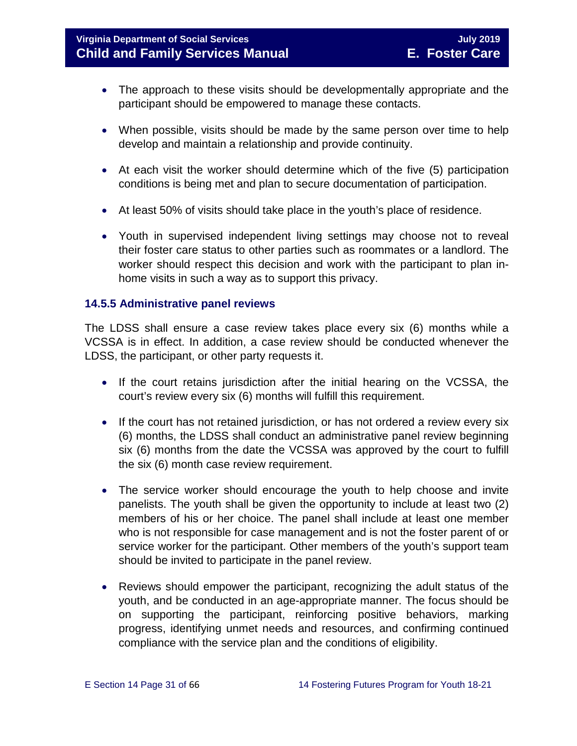# **Virginia Department of Social Services** July 2019 **Child and Family Services Manual E. Foster Care**

- The approach to these visits should be developmentally appropriate and the participant should be empowered to manage these contacts.
- When possible, visits should be made by the same person over time to help develop and maintain a relationship and provide continuity.
- At each visit the worker should determine which of the five (5) participation conditions is being met and plan to secure documentation of participation.
- At least 50% of visits should take place in the youth's place of residence.
- Youth in supervised independent living settings may choose not to reveal their foster care status to other parties such as roommates or a landlord. The worker should respect this decision and work with the participant to plan inhome visits in such a way as to support this privacy.

#### <span id="page-30-0"></span>**14.5.5 Administrative panel reviews**

The LDSS shall ensure a case review takes place every six (6) months while a VCSSA is in effect. In addition, a case review should be conducted whenever the LDSS, the participant, or other party requests it.

- If the court retains jurisdiction after the initial hearing on the VCSSA, the court's review every six (6) months will fulfill this requirement.
- If the court has not retained jurisdiction, or has not ordered a review every six (6) months, the LDSS shall conduct an administrative panel review beginning six (6) months from the date the VCSSA was approved by the court to fulfill the six (6) month case review requirement.
- The service worker should encourage the youth to help choose and invite panelists. The youth shall be given the opportunity to include at least two (2) members of his or her choice. The panel shall include at least one member who is not responsible for case management and is not the foster parent of or service worker for the participant. Other members of the youth's support team should be invited to participate in the panel review.
- Reviews should empower the participant, recognizing the adult status of the youth, and be conducted in an age-appropriate manner. The focus should be on supporting the participant, reinforcing positive behaviors, marking progress, identifying unmet needs and resources, and confirming continued compliance with the service plan and the conditions of eligibility.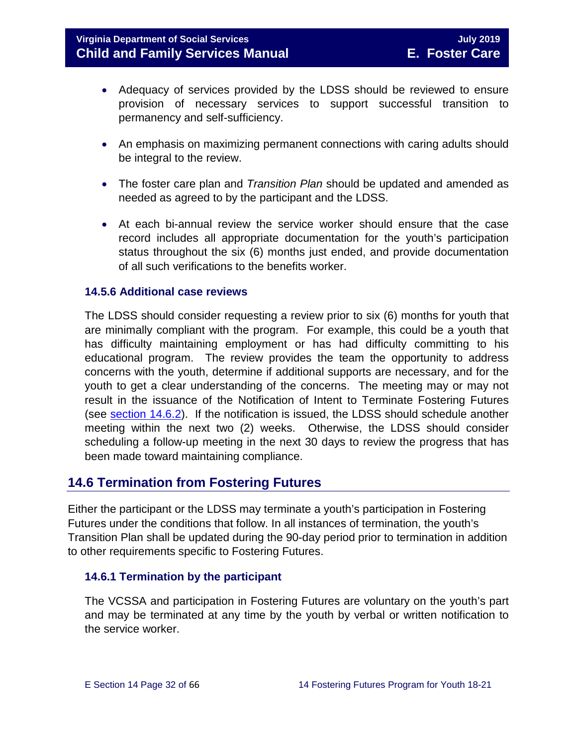- Adequacy of services provided by the LDSS should be reviewed to ensure provision of necessary services to support successful transition to permanency and self-sufficiency.
- An emphasis on maximizing permanent connections with caring adults should be integral to the review.
- The foster care plan and *Transition Plan* should be updated and amended as needed as agreed to by the participant and the LDSS.
- At each bi-annual review the service worker should ensure that the case record includes all appropriate documentation for the youth's participation status throughout the six (6) months just ended, and provide documentation of all such verifications to the benefits worker.

#### <span id="page-31-0"></span>**14.5.6 Additional case reviews**

The LDSS should consider requesting a review prior to six (6) months for youth that are minimally compliant with the program. For example, this could be a youth that has difficulty maintaining employment or has had difficulty committing to his educational program. The review provides the team the opportunity to address concerns with the youth, determine if additional supports are necessary, and for the youth to get a clear understanding of the concerns. The meeting may or may not result in the issuance of the Notification of Intent to Terminate Fostering Futures (see [section 14.6.2\)](#page-32-0). If the notification is issued, the LDSS should schedule another meeting within the next two (2) weeks. Otherwise, the LDSS should consider scheduling a follow-up meeting in the next 30 days to review the progress that has been made toward maintaining compliance.

# <span id="page-31-1"></span>**14.6 Termination from Fostering Futures**

Either the participant or the LDSS may terminate a youth's participation in Fostering Futures under the conditions that follow. In all instances of termination, the youth's Transition Plan shall be updated during the 90-day period prior to termination in addition to other requirements specific to Fostering Futures.

#### <span id="page-31-2"></span>**14.6.1 Termination by the participant**

The VCSSA and participation in Fostering Futures are voluntary on the youth's part and may be terminated at any time by the youth by verbal or written notification to the service worker.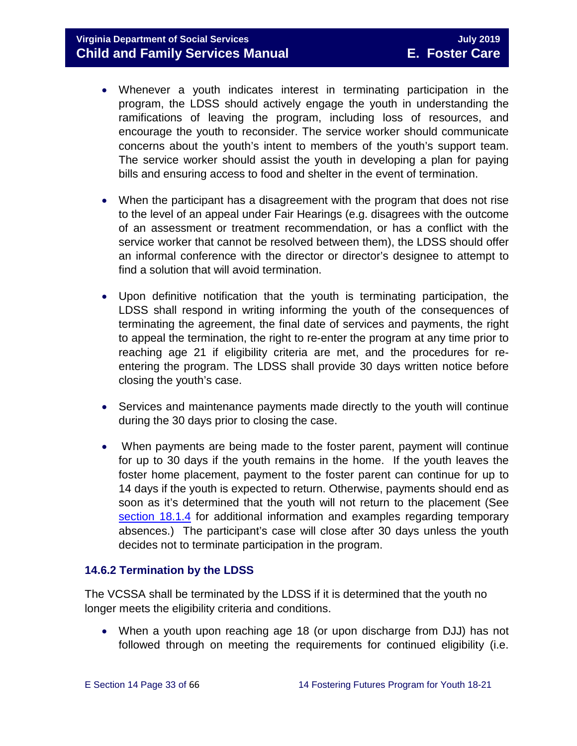### **Virginia Department of Social Services** July 2019 **July 2019 Child and Family Services Manual E. Foster Care**

- Whenever a youth indicates interest in terminating participation in the program, the LDSS should actively engage the youth in understanding the ramifications of leaving the program, including loss of resources, and encourage the youth to reconsider. The service worker should communicate concerns about the youth's intent to members of the youth's support team. The service worker should assist the youth in developing a plan for paying bills and ensuring access to food and shelter in the event of termination.
- When the participant has a disagreement with the program that does not rise to the level of an appeal under Fair Hearings (e.g. disagrees with the outcome of an assessment or treatment recommendation, or has a conflict with the service worker that cannot be resolved between them), the LDSS should offer an informal conference with the director or director's designee to attempt to find a solution that will avoid termination.
- Upon definitive notification that the youth is terminating participation, the LDSS shall respond in writing informing the youth of the consequences of terminating the agreement, the final date of services and payments, the right to appeal the termination, the right to re-enter the program at any time prior to reaching age 21 if eligibility criteria are met, and the procedures for reentering the program. The LDSS shall provide 30 days written notice before closing the youth's case.
- Services and maintenance payments made directly to the youth will continue during the 30 days prior to closing the case.
- When payments are being made to the foster parent, payment will continue for up to 30 days if the youth remains in the home. If the youth leaves the foster home placement, payment to the foster parent can continue for up to 14 days if the youth is expected to return. Otherwise, payments should end as soon as it's determined that the youth will not return to the placement (See [section 18.1.4](https://fusion.dss.virginia.gov/Portals/%5bdfs%5d/Files/DFS%20Manuals/Foster%20Care%20Manuals/Foster%20Care%20Manual%2007-2019/section_18_funding_maintenance_costs.pdf#page=4) for additional information and examples regarding temporary absences.) The participant's case will close after 30 days unless the youth decides not to terminate participation in the program.

#### <span id="page-32-0"></span>**14.6.2 Termination by the LDSS**

The VCSSA shall be terminated by the LDSS if it is determined that the youth no longer meets the eligibility criteria and conditions.

• When a youth upon reaching age 18 (or upon discharge from DJJ) has not followed through on meeting the requirements for continued eligibility (i.e.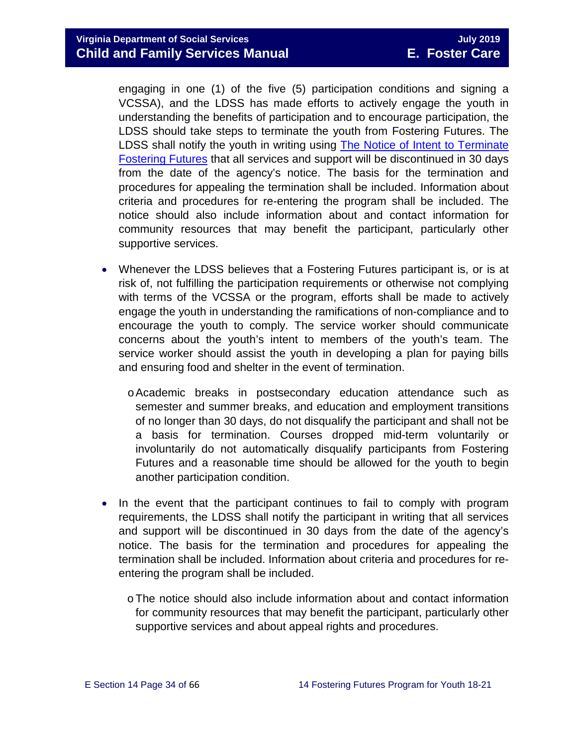engaging in one (1) of the five (5) participation conditions and signing a VCSSA), and the LDSS has made efforts to actively engage the youth in understanding the benefits of participation and to encourage participation, the LDSS should take steps to terminate the youth from Fostering Futures. The LDSS shall notify the youth in writing using [The Notice of Intent to Terminate](https://fusion.dss.virginia.gov/Portals/%5Bdfs%5D/Files/DFS%20FORMS/Foster%20Care%20Forms/Notice%20of%20Intent%20to%20Terminate%20Fostering%20Futures.pdf)  [Fostering Futures](https://fusion.dss.virginia.gov/Portals/%5Bdfs%5D/Files/DFS%20FORMS/Foster%20Care%20Forms/Notice%20of%20Intent%20to%20Terminate%20Fostering%20Futures.pdf) that all services and support will be discontinued in 30 days from the date of the agency's notice. The basis for the termination and procedures for appealing the termination shall be included. Information about criteria and procedures for re-entering the program shall be included. The notice should also include information about and contact information for community resources that may benefit the participant, particularly other supportive services.

- Whenever the LDSS believes that a Fostering Futures participant is, or is at risk of, not fulfilling the participation requirements or otherwise not complying with terms of the VCSSA or the program, efforts shall be made to actively engage the youth in understanding the ramifications of non-compliance and to encourage the youth to comply. The service worker should communicate concerns about the youth's intent to members of the youth's team. The service worker should assist the youth in developing a plan for paying bills and ensuring food and shelter in the event of termination.
	- oAcademic breaks in postsecondary education attendance such as semester and summer breaks, and education and employment transitions of no longer than 30 days, do not disqualify the participant and shall not be a basis for termination. Courses dropped mid-term voluntarily or involuntarily do not automatically disqualify participants from Fostering Futures and a reasonable time should be allowed for the youth to begin another participation condition.
- In the event that the participant continues to fail to comply with program requirements, the LDSS shall notify the participant in writing that all services and support will be discontinued in 30 days from the date of the agency's notice. The basis for the termination and procedures for appealing the termination shall be included. Information about criteria and procedures for reentering the program shall be included.
	- oThe notice should also include information about and contact information for community resources that may benefit the participant, particularly other supportive services and about appeal rights and procedures.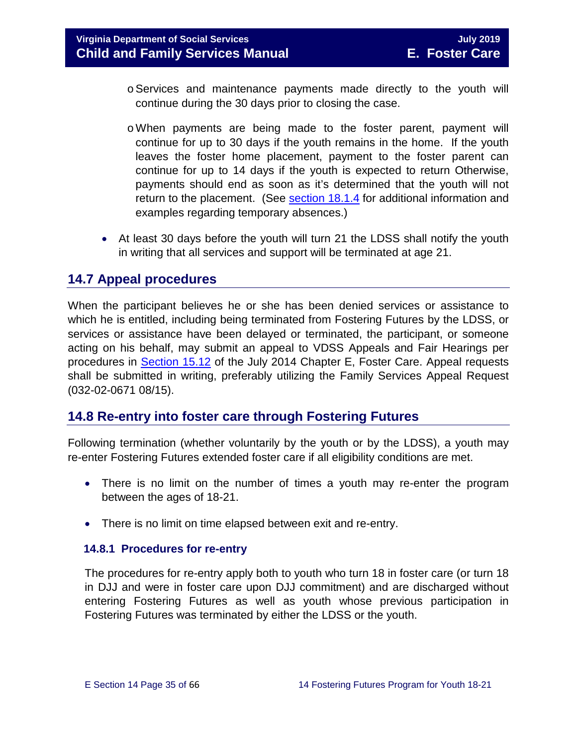- $\circ$  Services and maintenance payments made directly to the youth will continue during the 30 days prior to closing the case.
- oWhen payments are being made to the foster parent, payment will continue for up to 30 days if the youth remains in the home. If the youth leaves the foster home placement, payment to the foster parent can continue for up to 14 days if the youth is expected to return Otherwise, payments should end as soon as it's determined that the youth will not return to the placement. (See [section 18.1.4](https://fusion.dss.virginia.gov/Portals/%5bdfs%5d/Files/DFS%20Manuals/Foster%20Care%20Manuals/Foster%20Care%20Manual%2007-2019/section_18_funding_maintenance_costs.pdf#page=4) for additional information and examples regarding temporary absences.)
- At least 30 days before the youth will turn 21 the LDSS shall notify the youth in writing that all services and support will be terminated at age 21.

# <span id="page-34-0"></span>**14.7 Appeal procedures**

When the participant believes he or she has been denied services or assistance to which he is entitled, including being terminated from Fostering Futures by the LDSS, or services or assistance have been delayed or terminated, the participant, or someone acting on his behalf, may submit an appeal to VDSS Appeals and Fair Hearings per procedures in [Section 15.12](https://fusion.dss.virginia.gov/Portals/%5bdfs%5d/Files/DFS%20Manuals/Foster%20Care%20Manuals/Foster%20Care%20Manual%2007-2019/section_15_developing_service_plan.pdf#page=17) of the July 2014 Chapter E, Foster Care. Appeal requests shall be submitted in writing, preferably utilizing the Family Services Appeal Request (032-02-0671 08/15).

# <span id="page-34-1"></span>**14.8 Re-entry into foster care through Fostering Futures**

Following termination (whether voluntarily by the youth or by the LDSS), a youth may re-enter Fostering Futures extended foster care if all eligibility conditions are met.

- There is no limit on the number of times a youth may re-enter the program between the ages of 18-21.
- There is no limit on time elapsed between exit and re-entry.

#### <span id="page-34-2"></span> **14.8.1 Procedures for re-entry**

The procedures for re-entry apply both to youth who turn 18 in foster care (or turn 18 in DJJ and were in foster care upon DJJ commitment) and are discharged without entering Fostering Futures as well as youth whose previous participation in Fostering Futures was terminated by either the LDSS or the youth.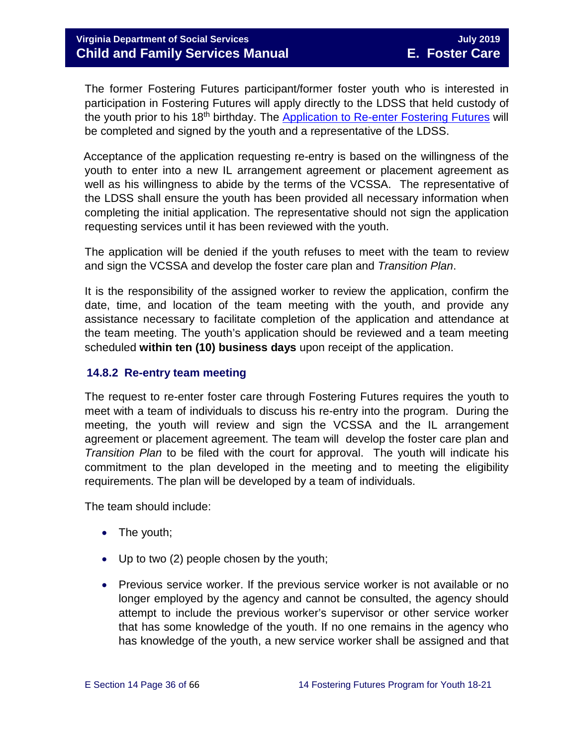The former Fostering Futures participant/former foster youth who is interested in participation in Fostering Futures will apply directly to the LDSS that held custody of the youth prior to his 18<sup>th</sup> birthday. The [Application to Re-enter Fostering Futures](https://fusion.dss.virginia.gov/Portals/%5Bdfs%5D/Files/DFS%20FORMS/Foster%20Care%20Forms/Application%20to%20Re-Enter%20Fostering%20Futures.pdf) will be completed and signed by the youth and a representative of the LDSS.

 Acceptance of the application requesting re-entry is based on the willingness of the youth to enter into a new IL arrangement agreement or placement agreement as well as his willingness to abide by the terms of the VCSSA. The representative of the LDSS shall ensure the youth has been provided all necessary information when completing the initial application. The representative should not sign the application requesting services until it has been reviewed with the youth.

The application will be denied if the youth refuses to meet with the team to review and sign the VCSSA and develop the foster care plan and *Transition Plan*.

It is the responsibility of the assigned worker to review the application, confirm the date, time, and location of the team meeting with the youth, and provide any assistance necessary to facilitate completion of the application and attendance at the team meeting. The youth's application should be reviewed and a team meeting scheduled **within ten (10) business days** upon receipt of the application.

#### <span id="page-35-0"></span> **14.8.2 Re-entry team meeting**

The request to re-enter foster care through Fostering Futures requires the youth to meet with a team of individuals to discuss his re-entry into the program. During the meeting, the youth will review and sign the VCSSA and the IL arrangement agreement or placement agreement. The team will develop the foster care plan and *Transition Plan* to be filed with the court for approval. The youth will indicate his commitment to the plan developed in the meeting and to meeting the eligibility requirements. The plan will be developed by a team of individuals.

The team should include:

- The youth;
- Up to two (2) people chosen by the youth;
- Previous service worker. If the previous service worker is not available or no longer employed by the agency and cannot be consulted, the agency should attempt to include the previous worker's supervisor or other service worker that has some knowledge of the youth. If no one remains in the agency who has knowledge of the youth, a new service worker shall be assigned and that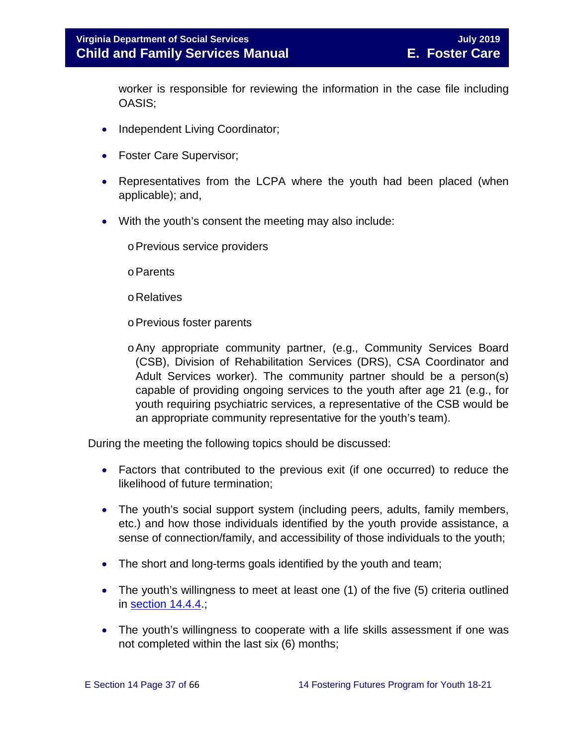worker is responsible for reviewing the information in the case file including OASIS;

- Independent Living Coordinator;
- Foster Care Supervisor;
- Representatives from the LCPA where the youth had been placed (when applicable); and,
- With the youth's consent the meeting may also include:
	- oPrevious service providers
	- oParents
	- oRelatives
	- oPrevious foster parents
	- oAny appropriate community partner, (e.g., Community Services Board (CSB), Division of Rehabilitation Services (DRS), CSA Coordinator and Adult Services worker). The community partner should be a person(s) capable of providing ongoing services to the youth after age 21 (e.g., for youth requiring psychiatric services, a representative of the CSB would be an appropriate community representative for the youth's team).

During the meeting the following topics should be discussed:

- Factors that contributed to the previous exit (if one occurred) to reduce the likelihood of future termination;
- The youth's social support system (including peers, adults, family members, etc.) and how those individuals identified by the youth provide assistance, a sense of connection/family, and accessibility of those individuals to the youth;
- The short and long-terms goals identified by the youth and team;
- The youth's willingness to meet at least one (1) of the five (5) criteria outlined in [section 14.4.4.](#page-14-0);
- The youth's willingness to cooperate with a life skills assessment if one was not completed within the last six (6) months;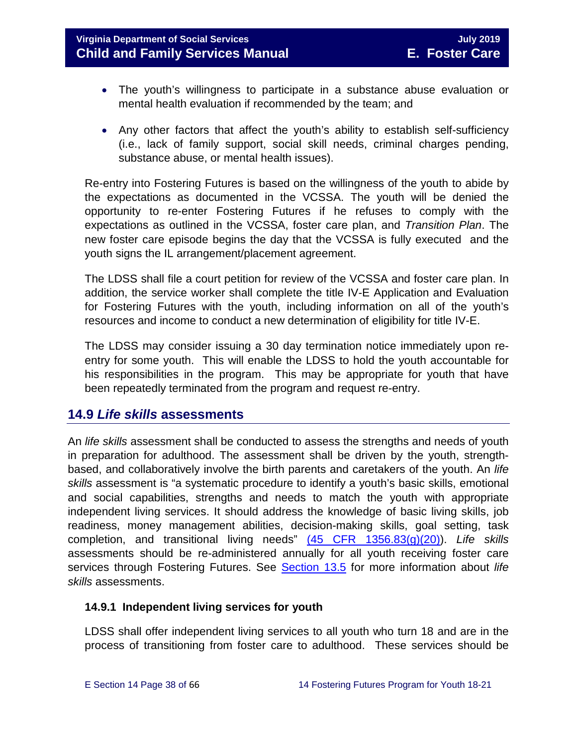# **Virginia Department of Social Services July 2019 Child and Family Services Manual E. Foster Care**

- The youth's willingness to participate in a substance abuse evaluation or mental health evaluation if recommended by the team; and
- Any other factors that affect the youth's ability to establish self-sufficiency (i.e., lack of family support, social skill needs, criminal charges pending, substance abuse, or mental health issues).

Re-entry into Fostering Futures is based on the willingness of the youth to abide by the expectations as documented in the VCSSA. The youth will be denied the opportunity to re-enter Fostering Futures if he refuses to comply with the expectations as outlined in the VCSSA, foster care plan, and *Transition Plan*. The new foster care episode begins the day that the VCSSA is fully executed and the youth signs the IL arrangement/placement agreement.

The LDSS shall file a court petition for review of the VCSSA and foster care plan. In addition, the service worker shall complete the title IV-E Application and Evaluation for Fostering Futures with the youth, including information on all of the youth's resources and income to conduct a new determination of eligibility for title IV-E.

The LDSS may consider issuing a 30 day termination notice immediately upon reentry for some youth. This will enable the LDSS to hold the youth accountable for his responsibilities in the program. This may be appropriate for youth that have been repeatedly terminated from the program and request re-entry.

### <span id="page-37-0"></span>**14.9** *Life skills* **assessments**

An *life skills* assessment shall be conducted to assess the strengths and needs of youth in preparation for adulthood. The assessment shall be driven by the youth, strengthbased, and collaboratively involve the birth parents and caretakers of the youth. An *life skills* assessment is "a systematic procedure to identify a youth's basic skills, emotional and social capabilities, strengths and needs to match the youth with appropriate independent living services. It should address the knowledge of basic living skills, job readiness, money management abilities, decision-making skills, goal setting, task completion, and transitional living needs" [\(45 CFR 1356.83\(g\)\(20\)\)](http://www.ecfr.gov/cgi-bin/retrieveECFR?gp=1&SID=3d9be8b33d08994a45cff8aaff9f9476&ty=HTML&h=L&mc=true&r=PART&n=pt45.4.1356). *Life skills*  assessments should be re-administered annually for all youth receiving foster care services through Fostering Futures. See [Section 13.5](https://fusion.dss.virginia.gov/Portals/%5bdfs%5d/Files/DFS%20Manuals/Foster%20Care%20Manuals/Foster%20Care%20Manual%2007-2019/Section_13_achieving_permanency_for_older_youth.pdf#page=11) for more information about *life skills* assessments.

#### <span id="page-37-1"></span>**14.9.1 Independent living services for youth**

LDSS shall offer independent living services to all youth who turn 18 and are in the process of transitioning from foster care to adulthood. These services should be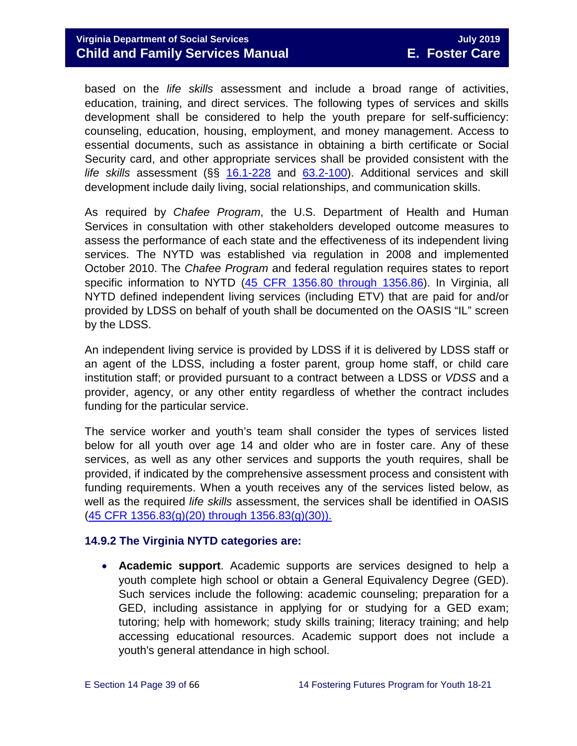based on the *life skills* assessment and include a broad range of activities, education, training, and direct services. The following types of services and skills development shall be considered to help the youth prepare for self-sufficiency: counseling, education, housing, employment, and money management. Access to essential documents, such as assistance in obtaining a birth certificate or Social Security card, and other appropriate services shall be provided consistent with the *life skills* assessment (§§ [16.1-228](http://law.lis.virginia.gov/vacode/16.1-228/) and [63.2-100\)](http://law.lis.virginia.gov/vacode/title63.2/chapter1/section63.2-100/). Additional services and skill development include daily living, social relationships, and communication skills.

As required by *Chafee Program*, the U.S. Department of Health and Human Services in consultation with other stakeholders developed outcome measures to assess the performance of each state and the effectiveness of its independent living services. The NYTD was established via regulation in 2008 and implemented October 2010. The *Chafee Program* and federal regulation requires states to report specific information to NYTD [\(45 CFR 1356.80 through 1356.86\)](https://www.law.cornell.edu/cfr/text/45/1356.83). In Virginia, all NYTD defined independent living services (including ETV) that are paid for and/or provided by LDSS on behalf of youth shall be documented on the OASIS "IL" screen by the LDSS.

An independent living service is provided by LDSS if it is delivered by LDSS staff or an agent of the LDSS, including a foster parent, group home staff, or child care institution staff; or provided pursuant to a contract between a LDSS or *VDSS* and a provider, agency, or any other entity regardless of whether the contract includes funding for the particular service.

The service worker and youth's team shall consider the types of services listed below for all youth over age 14 and older who are in foster care. Any of these services, as well as any other services and supports the youth requires, shall be provided, if indicated by the comprehensive assessment process and consistent with funding requirements. When a youth receives any of the services listed below, as well as the required *life skills* assessment, the services shall be identified in OASIS [\(45 CFR 1356.83\(g\)\(20\) through 1356.83\(g\)\(30\)\).](https://www.law.cornell.edu/cfr/text/45/1356.83)

#### <span id="page-38-0"></span>**14.9.2 The Virginia NYTD categories are:**

• **Academic support**. Academic supports are services designed to help a youth complete high school or obtain a General Equivalency Degree (GED). Such services include the following: academic counseling; preparation for a GED, including assistance in applying for or studying for a GED exam; tutoring; help with homework; study skills training; literacy training; and help accessing educational resources. Academic support does not include a youth's general attendance in high school.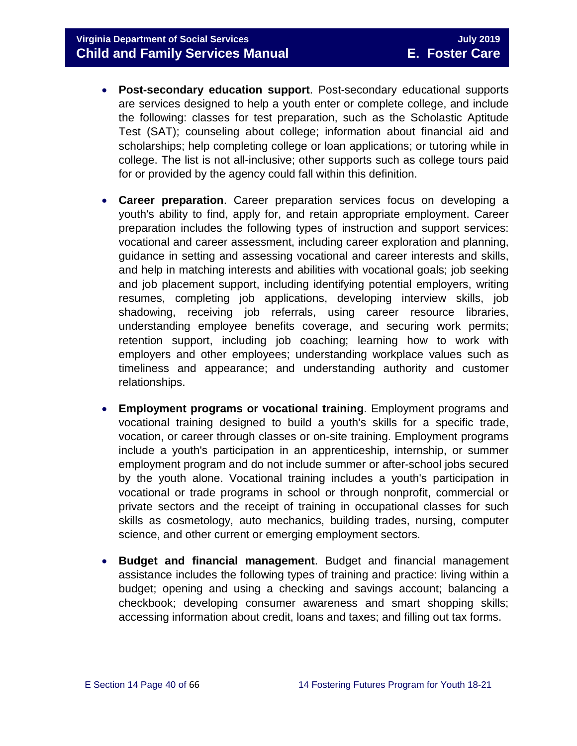- **Post-secondary education support**. Post-secondary educational supports are services designed to help a youth enter or complete college, and include the following: classes for test preparation, such as the Scholastic Aptitude Test (SAT); counseling about college; information about financial aid and scholarships; help completing college or loan applications; or tutoring while in college. The list is not all-inclusive; other supports such as college tours paid for or provided by the agency could fall within this definition.
- **Career preparation**. Career preparation services focus on developing a youth's ability to find, apply for, and retain appropriate employment. Career preparation includes the following types of instruction and support services: vocational and career assessment, including career exploration and planning, guidance in setting and assessing vocational and career interests and skills, and help in matching interests and abilities with vocational goals; job seeking and job placement support, including identifying potential employers, writing resumes, completing job applications, developing interview skills, job shadowing, receiving job referrals, using career resource libraries, understanding employee benefits coverage, and securing work permits; retention support, including job coaching; learning how to work with employers and other employees; understanding workplace values such as timeliness and appearance; and understanding authority and customer relationships.
- **Employment programs or vocational training**. Employment programs and vocational training designed to build a youth's skills for a specific trade, vocation, or career through classes or on-site training. Employment programs include a youth's participation in an apprenticeship, internship, or summer employment program and do not include summer or after-school jobs secured by the youth alone. Vocational training includes a youth's participation in vocational or trade programs in school or through nonprofit, commercial or private sectors and the receipt of training in occupational classes for such skills as cosmetology, auto mechanics, building trades, nursing, computer science, and other current or emerging employment sectors.
- **Budget and financial management**. Budget and financial management assistance includes the following types of training and practice: living within a budget; opening and using a checking and savings account; balancing a checkbook; developing consumer awareness and smart shopping skills; accessing information about credit, loans and taxes; and filling out tax forms.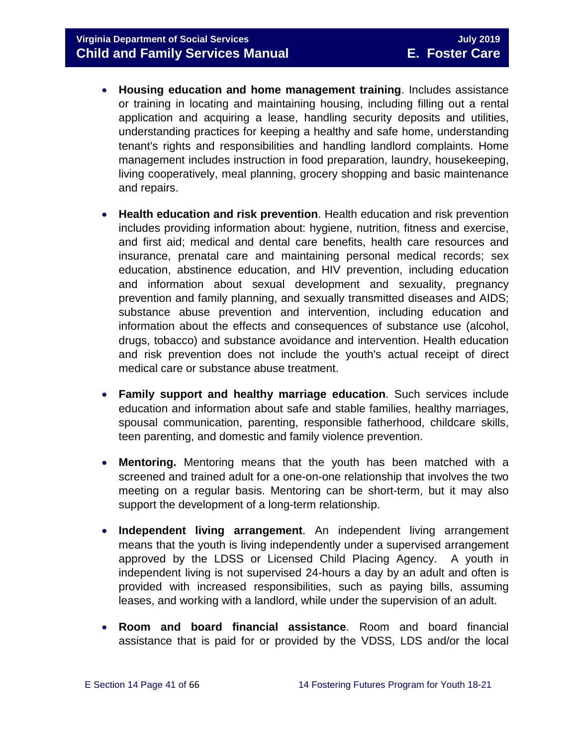- **Housing education and home management training**. Includes assistance or training in locating and maintaining housing, including filling out a rental application and acquiring a lease, handling security deposits and utilities, understanding practices for keeping a healthy and safe home, understanding tenant's rights and responsibilities and handling landlord complaints. Home management includes instruction in food preparation, laundry, housekeeping, living cooperatively, meal planning, grocery shopping and basic maintenance and repairs.
- **Health education and risk prevention**. Health education and risk prevention includes providing information about: hygiene, nutrition, fitness and exercise, and first aid; medical and dental care benefits, health care resources and insurance, prenatal care and maintaining personal medical records; sex education, abstinence education, and HIV prevention, including education and information about sexual development and sexuality, pregnancy prevention and family planning, and sexually transmitted diseases and AIDS; substance abuse prevention and intervention, including education and information about the effects and consequences of substance use (alcohol, drugs, tobacco) and substance avoidance and intervention. Health education and risk prevention does not include the youth's actual receipt of direct medical care or substance abuse treatment.
- **Family support and healthy marriage education**. Such services include education and information about safe and stable families, healthy marriages, spousal communication, parenting, responsible fatherhood, childcare skills, teen parenting, and domestic and family violence prevention.
- **Mentoring.** Mentoring means that the youth has been matched with a screened and trained adult for a one-on-one relationship that involves the two meeting on a regular basis. Mentoring can be short-term, but it may also support the development of a long-term relationship.
- **Independent living arrangement**. An independent living arrangement means that the youth is living independently under a supervised arrangement approved by the LDSS or Licensed Child Placing Agency. A youth in independent living is not supervised 24-hours a day by an adult and often is provided with increased responsibilities, such as paying bills, assuming leases, and working with a landlord, while under the supervision of an adult.
- **Room and board financial assistance**. Room and board financial assistance that is paid for or provided by the VDSS, LDS and/or the local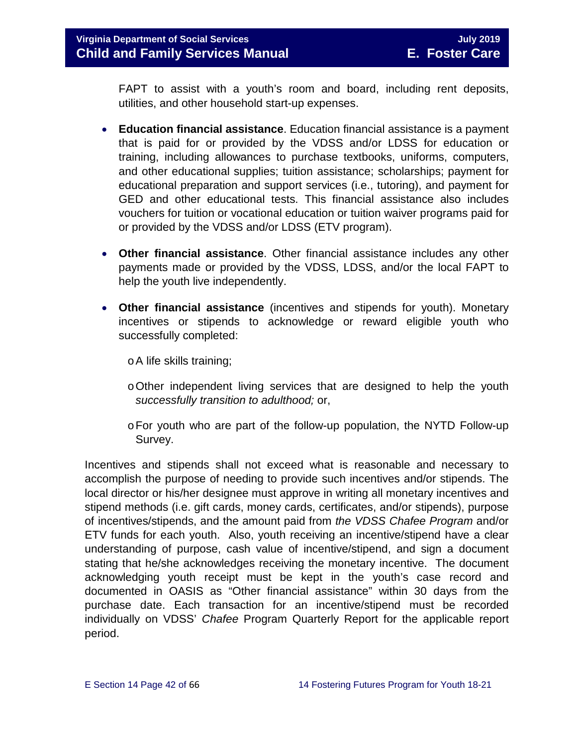FAPT to assist with a youth's room and board, including rent deposits, utilities, and other household start-up expenses.

- **Education financial assistance**. Education financial assistance is a payment that is paid for or provided by the VDSS and/or LDSS for education or training, including allowances to purchase textbooks, uniforms, computers, and other educational supplies; tuition assistance; scholarships; payment for educational preparation and support services (i.e., tutoring), and payment for GED and other educational tests. This financial assistance also includes vouchers for tuition or vocational education or tuition waiver programs paid for or provided by the VDSS and/or LDSS (ETV program).
- **Other financial assistance**. Other financial assistance includes any other payments made or provided by the VDSS, LDSS, and/or the local FAPT to help the youth live independently.
- **Other financial assistance** (incentives and stipends for youth). Monetary incentives or stipends to acknowledge or reward eligible youth who successfully completed:
	- oA life skills training;
	- oOther independent living services that are designed to help the youth *successfully transition to adulthood;* or,
	- $\circ$  For youth who are part of the follow-up population, the NYTD Follow-up Survey.

Incentives and stipends shall not exceed what is reasonable and necessary to accomplish the purpose of needing to provide such incentives and/or stipends. The local director or his/her designee must approve in writing all monetary incentives and stipend methods (i.e. gift cards, money cards, certificates, and/or stipends), purpose of incentives/stipends, and the amount paid from *the VDSS Chafee Program* and/or ETV funds for each youth. Also, youth receiving an incentive/stipend have a clear understanding of purpose, cash value of incentive/stipend, and sign a document stating that he/she acknowledges receiving the monetary incentive. The document acknowledging youth receipt must be kept in the youth's case record and documented in OASIS as "Other financial assistance" within 30 days from the purchase date. Each transaction for an incentive/stipend must be recorded individually on VDSS' *Chafee* Program Quarterly Report for the applicable report period.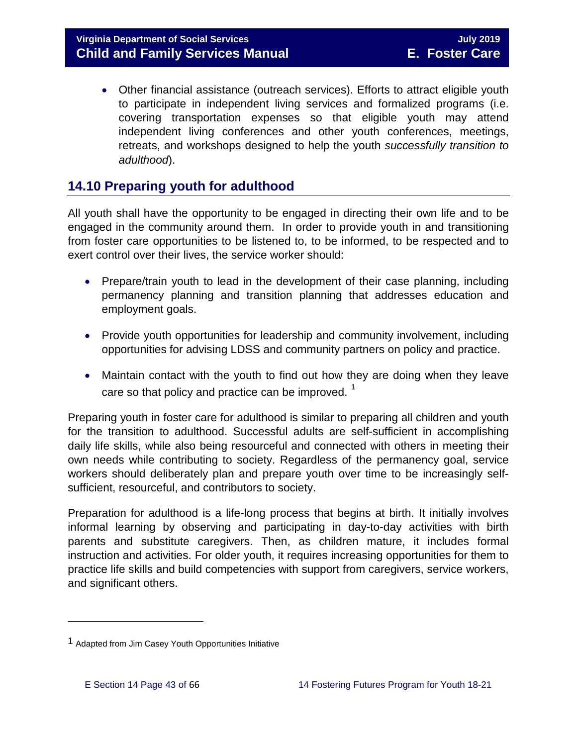• Other financial assistance (outreach services). Efforts to attract eligible youth to participate in independent living services and formalized programs (i.e. covering transportation expenses so that eligible youth may attend independent living conferences and other youth conferences, meetings, retreats, and workshops designed to help the youth *successfully transition to adulthood*).

# <span id="page-42-0"></span>**14.10 Preparing youth for adulthood**

All youth shall have the opportunity to be engaged in directing their own life and to be engaged in the community around them. In order to provide youth in and transitioning from foster care opportunities to be listened to, to be informed, to be respected and to exert control over their lives, the service worker should:

- Prepare/train youth to lead in the development of their case planning, including permanency planning and transition planning that addresses education and employment goals.
- Provide youth opportunities for leadership and community involvement, including opportunities for advising LDSS and community partners on policy and practice.
- Maintain contact with the youth to find out how they are doing when they leave care so that policy and practice can be improved.  $1$

Preparing youth in foster care for adulthood is similar to preparing all children and youth for the transition to adulthood. Successful adults are self-sufficient in accomplishing daily life skills, while also being resourceful and connected with others in meeting their own needs while contributing to society. Regardless of the permanency goal, service workers should deliberately plan and prepare youth over time to be increasingly selfsufficient, resourceful, and contributors to society.

Preparation for adulthood is a life-long process that begins at birth. It initially involves informal learning by observing and participating in day-to-day activities with birth parents and substitute caregivers. Then, as children mature, it includes formal instruction and activities. For older youth, it requires increasing opportunities for them to practice life skills and build competencies with support from caregivers, service workers, and significant others.

 $\overline{a}$ 

<span id="page-42-1"></span><sup>1</sup> Adapted from Jim Casey Youth Opportunities Initiative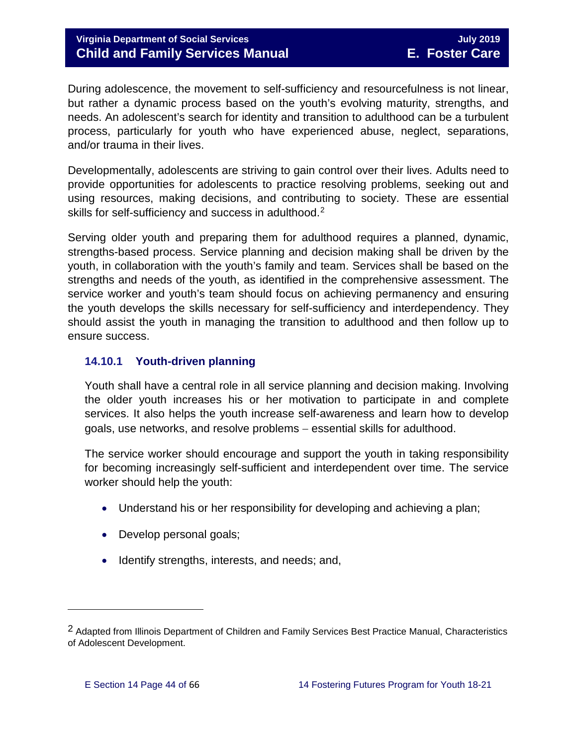### **Virginia Department of Social Services** July 2019 **July 2019 Child and Family Services Manual E. Foster Care**

During adolescence, the movement to self-sufficiency and resourcefulness is not linear, but rather a dynamic process based on the youth's evolving maturity, strengths, and needs. An adolescent's search for identity and transition to adulthood can be a turbulent process, particularly for youth who have experienced abuse, neglect, separations, and/or trauma in their lives.

Developmentally, adolescents are striving to gain control over their lives. Adults need to provide opportunities for adolescents to practice resolving problems, seeking out and using resources, making decisions, and contributing to society. These are essential skills for self-sufficiency and success in adulthood.<sup>[2](#page-43-1)</sup>

Serving older youth and preparing them for adulthood requires a planned, dynamic, strengths-based process. Service planning and decision making shall be driven by the youth, in collaboration with the youth's family and team. Services shall be based on the strengths and needs of the youth, as identified in the comprehensive assessment. The service worker and youth's team should focus on achieving permanency and ensuring the youth develops the skills necessary for self-sufficiency and interdependency. They should assist the youth in managing the transition to adulthood and then follow up to ensure success.

#### <span id="page-43-0"></span>**14.10.1 Youth-driven planning**

Youth shall have a central role in all service planning and decision making. Involving the older youth increases his or her motivation to participate in and complete services. It also helps the youth increase self-awareness and learn how to develop goals, use networks, and resolve problems − essential skills for adulthood.

The service worker should encourage and support the youth in taking responsibility for becoming increasingly self-sufficient and interdependent over time. The service worker should help the youth:

- Understand his or her responsibility for developing and achieving a plan;
- Develop personal goals;
- Identify strengths, interests, and needs; and,

l

<span id="page-43-1"></span><sup>2</sup> Adapted from Illinois Department of Children and Family Services Best Practice Manual, Characteristics of Adolescent Development.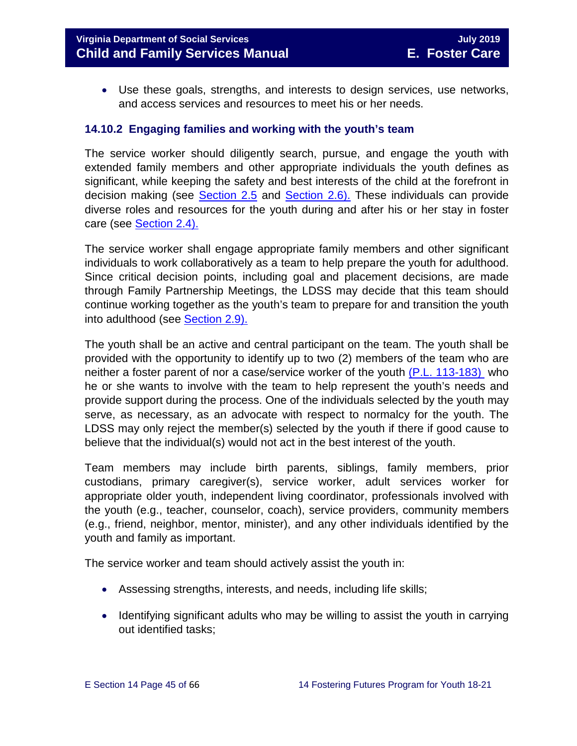• Use these goals, strengths, and interests to design services, use networks, and access services and resources to meet his or her needs.

#### <span id="page-44-0"></span>**14.10.2 Engaging families and working with the youth's team**

The service worker should diligently search, pursue, and engage the youth with extended family members and other appropriate individuals the youth defines as significant, while keeping the safety and best interests of the child at the forefront in decision making (see [Section 2.5](https://fusion.dss.virginia.gov/Portals/%5bdfs%5d/Files/DFS%20Manuals/Foster%20Care%20Manuals/Foster%20Care%20Manual%2007-2019/section_2_engaging_the_child_family_and_significant_adults.pdf#page=10) and [Section 2.6\).](https://fusion.dss.virginia.gov/Portals/%5bdfs%5d/Files/DFS%20Manuals/Foster%20Care%20Manuals/Foster%20Care%20Manual%2007-2019/section_2_engaging_the_child_family_and_significant_adults.pdf#page=13) These individuals can provide diverse roles and resources for the youth during and after his or her stay in foster care (see [Section 2.4\).](https://fusion.dss.virginia.gov/Portals/%5bdfs%5d/Files/DFS%20Manuals/Foster%20Care%20Manuals/Foster%20Care%20Manual%2007-2019/section_2_engaging_the_child_family_and_significant_adults.pdf#page=8)

The service worker shall engage appropriate family members and other significant individuals to work collaboratively as a team to help prepare the youth for adulthood. Since critical decision points, including goal and placement decisions, are made through Family Partnership Meetings, the LDSS may decide that this team should continue working together as the youth's team to prepare for and transition the youth into adulthood (see [Section 2.9\).](https://fusion.dss.virginia.gov/Portals/%5bdfs%5d/Files/DFS%20Manuals/Foster%20Care%20Manuals/Foster%20Care%20Manual%2007-2019/section_2_engaging_the_child_family_and_significant_adults.pdf#page=19)

The youth shall be an active and central participant on the team. The youth shall be provided with the opportunity to identify up to two (2) members of the team who are neither a foster parent of nor a case/service worker of the youth [\(P.L. 113-183\)](https://www.congress.gov/113/plaws/publ183/PLAW-113publ183.pdf) who he or she wants to involve with the team to help represent the youth's needs and provide support during the process. One of the individuals selected by the youth may serve, as necessary, as an advocate with respect to normalcy for the youth. The LDSS may only reject the member(s) selected by the youth if there if good cause to believe that the individual(s) would not act in the best interest of the youth.

Team members may include birth parents, siblings, family members, prior custodians, primary caregiver(s), service worker, adult services worker for appropriate older youth, independent living coordinator, professionals involved with the youth (e.g., teacher, counselor, coach), service providers, community members (e.g., friend, neighbor, mentor, minister), and any other individuals identified by the youth and family as important.

The service worker and team should actively assist the youth in:

- Assessing strengths, interests, and needs, including life skills;
- Identifying significant adults who may be willing to assist the youth in carrying out identified tasks;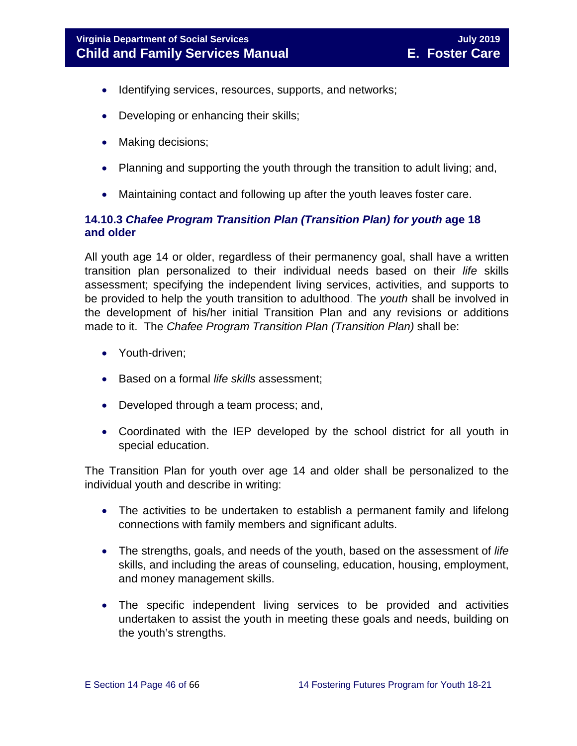- Identifying services, resources, supports, and networks;
- Developing or enhancing their skills;
- Making decisions:
- Planning and supporting the youth through the transition to adult living; and,
- Maintaining contact and following up after the youth leaves foster care.

### <span id="page-45-0"></span>**14.10.3** *Chafee Program Transition Plan (Transition Plan) for youth* **age 18 and older**

All youth age 14 or older, regardless of their permanency goal, shall have a written transition plan personalized to their individual needs based on their *life* skills assessment; specifying the independent living services, activities, and supports to be provided to help the youth transition to adulthood. The *youth* shall be involved in the development of his/her initial Transition Plan and any revisions or additions made to it. The *Chafee Program Transition Plan (Transition Plan)* shall be:

- Youth-driven;
- Based on a formal *life skills* assessment;
- Developed through a team process; and,
- Coordinated with the IEP developed by the school district for all youth in special education.

The Transition Plan for youth over age 14 and older shall be personalized to the individual youth and describe in writing:

- The activities to be undertaken to establish a permanent family and lifelong connections with family members and significant adults.
- The strengths, goals, and needs of the youth, based on the assessment of *life* skills, and including the areas of counseling, education, housing, employment, and money management skills.
- The specific independent living services to be provided and activities undertaken to assist the youth in meeting these goals and needs, building on the youth's strengths.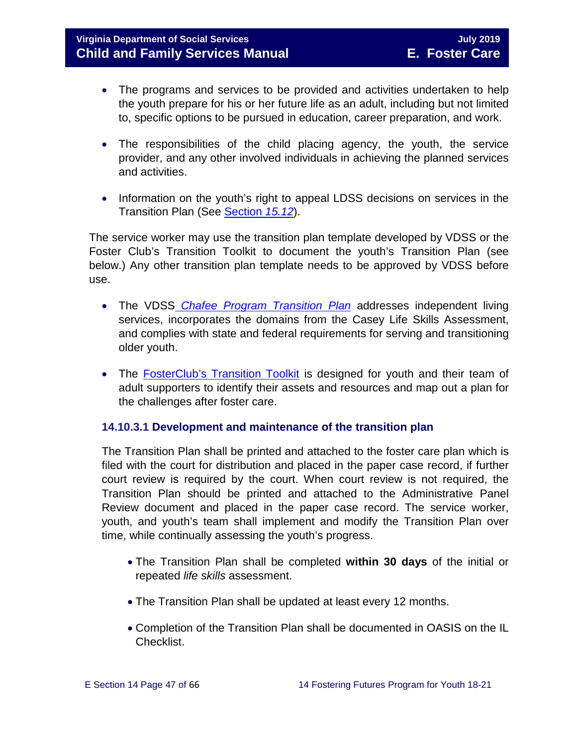- The programs and services to be provided and activities undertaken to help the youth prepare for his or her future life as an adult, including but not limited to, specific options to be pursued in education, career preparation, and work.
- The responsibilities of the child placing agency, the youth, the service provider, and any other involved individuals in achieving the planned services and activities.
- Information on the youth's right to appeal LDSS decisions on services in the Transition Plan (See [Section](https://fusion.dss.virginia.gov/Portals/%5bdfs%5d/Files/DFS%20Manuals/Foster%20Care%20Manuals/Foster%20Care%20Manual%2007-2019/section_15_developing_service_plan.pdf#page=17) *15.12*).

The service worker may use the transition plan template developed by VDSS or the Foster Club's Transition Toolkit to document the youth's Transition Plan (see below.) Any other transition plan template needs to be approved by VDSS before use.

- The VDSS *Chafee Program Transition Plan* addresses independent living services, incorporates the domains from the Casey Life Skills Assessment, and complies with state and federal requirements for serving and transitioning older youth.
- The [FosterClub's Transition Toolkit](https://www.fosterclub.com/_transition/article/transition-toolkit) is designed for youth and their team of adult supporters to identify their assets and resources and map out a plan for the challenges after foster care.

#### **14.10.3.1 Development and maintenance of the transition plan**

The Transition Plan shall be printed and attached to the foster care plan which is filed with the court for distribution and placed in the paper case record, if further court review is required by the court. When court review is not required, the Transition Plan should be printed and attached to the Administrative Panel Review document and placed in the paper case record. The service worker, youth, and youth's team shall implement and modify the Transition Plan over time, while continually assessing the youth's progress.

- The Transition Plan shall be completed **within 30 days** of the initial or repeated *life skills* assessment.
- The Transition Plan shall be updated at least every 12 months.
- Completion of the Transition Plan shall be documented in OASIS on the IL Checklist.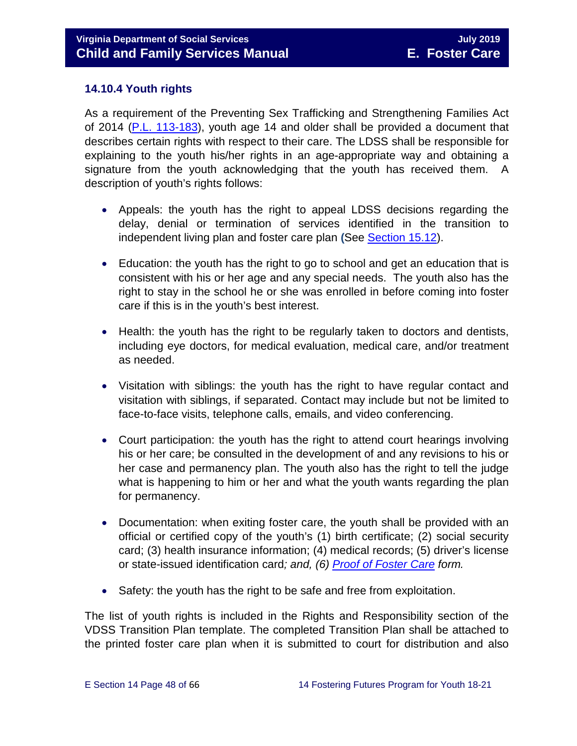#### <span id="page-47-0"></span>**14.10.4 Youth rights**

As a requirement of the Preventing Sex Trafficking and Strengthening Families Act of 2014 [\(P.L. 113-183\)](https://www.congress.gov/113/plaws/publ183/PLAW-113publ183.pdf), youth age 14 and older shall be provided a document that describes certain rights with respect to their care. The LDSS shall be responsible for explaining to the youth his/her rights in an age-appropriate way and obtaining a signature from the youth acknowledging that the youth has received them. A description of youth's rights follows:

- Appeals: the youth has the right to appeal LDSS decisions regarding the delay, denial or termination of services identified in the transition to independent living plan and foster care plan **(**See [Section 15.12\)](https://fusion.dss.virginia.gov/Portals/%5bdfs%5d/Files/DFS%20Manuals/Foster%20Care%20Manuals/Foster%20Care%20Manual%2007-2019/section_15_developing_service_plan.pdf#page=17).
- Education: the youth has the right to go to school and get an education that is consistent with his or her age and any special needs. The youth also has the right to stay in the school he or she was enrolled in before coming into foster care if this is in the youth's best interest.
- Health: the youth has the right to be regularly taken to doctors and dentists, including eye doctors, for medical evaluation, medical care, and/or treatment as needed.
- Visitation with siblings: the youth has the right to have regular contact and visitation with siblings, if separated. Contact may include but not be limited to face-to-face visits, telephone calls, emails, and video conferencing.
- Court participation: the youth has the right to attend court hearings involving his or her care; be consulted in the development of and any revisions to his or her case and permanency plan. The youth also has the right to tell the judge what is happening to him or her and what the youth wants regarding the plan for permanency.
- Documentation: when exiting foster care, the youth shall be provided with an official or certified copy of the youth's (1) birth certificate; (2) social security card; (3) health insurance information; (4) medical records; (5) driver's license or state-issued identification card*; and, (6) [Proof of Foster Care](https://fusion.dss.virginia.gov/dfs/DFS-Home/Foster-Care/Foster-Care-Forms) form.*
- Safety: the youth has the right to be safe and free from exploitation.

The list of youth rights is included in the Rights and Responsibility section of the VDSS Transition Plan template. The completed Transition Plan shall be attached to the printed foster care plan when it is submitted to court for distribution and also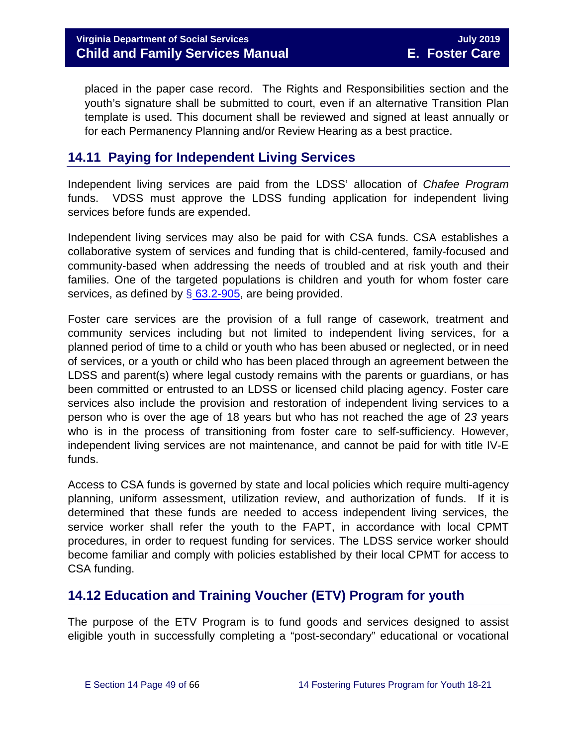placed in the paper case record. The Rights and Responsibilities section and the youth's signature shall be submitted to court, even if an alternative Transition Plan template is used. This document shall be reviewed and signed at least annually or for each Permanency Planning and/or Review Hearing as a best practice.

# <span id="page-48-0"></span>**14.11 Paying for Independent Living Services**

Independent living services are paid from the LDSS' allocation of *Chafee Program* funds. VDSS must approve the LDSS funding application for independent living services before funds are expended.

Independent living services may also be paid for with CSA funds. CSA establishes a collaborative system of services and funding that is child-centered, family-focused and community-based when addressing the needs of troubled and at risk youth and their families. One of the targeted populations is children and youth for whom foster care services, as defined by  $\S$  [63.2-905,](http://law.lis.virginia.gov/vacode/title63.2/chapter9/section63.2-905/) are being provided.

Foster care services are the provision of a full range of casework, treatment and community services including but not limited to independent living services, for a planned period of time to a child or youth who has been abused or neglected, or in need of services, or a youth or child who has been placed through an agreement between the LDSS and parent(s) where legal custody remains with the parents or guardians, or has been committed or entrusted to an LDSS or licensed child placing agency. Foster care services also include the provision and restoration of independent living services to a person who is over the age of 18 years but who has not reached the age of 2*3* years who is in the process of transitioning from foster care to self-sufficiency. However, independent living services are not maintenance, and cannot be paid for with title IV-E funds.

Access to CSA funds is governed by state and local policies which require multi-agency planning, uniform assessment, utilization review, and authorization of funds. If it is determined that these funds are needed to access independent living services, the service worker shall refer the youth to the FAPT, in accordance with local CPMT procedures, in order to request funding for services. The LDSS service worker should become familiar and comply with policies established by their local CPMT for access to CSA funding.

# <span id="page-48-1"></span>**14.12 Education and Training Voucher (ETV) Program for youth**

The purpose of the ETV Program is to fund goods and services designed to assist eligible youth in successfully completing a "post-secondary" educational or vocational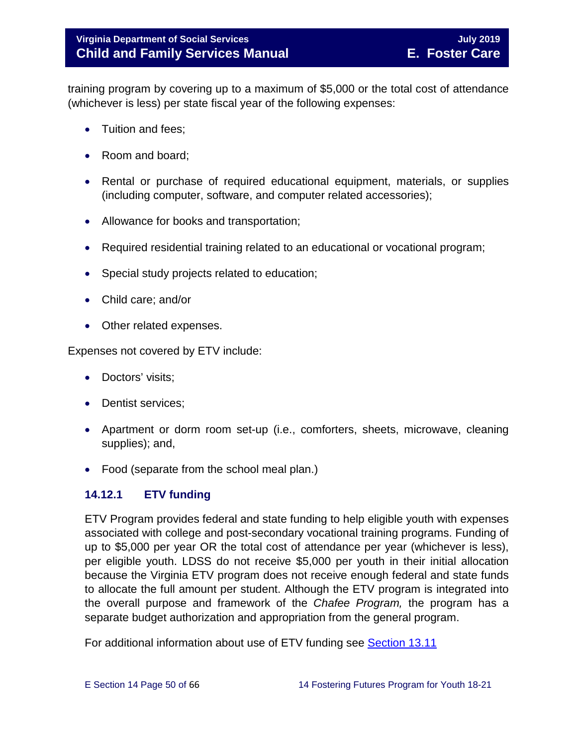training program by covering up to a maximum of \$5,000 or the total cost of attendance (whichever is less) per state fiscal year of the following expenses:

- Tuition and fees:
- Room and board;
- Rental or purchase of required educational equipment, materials, or supplies (including computer, software, and computer related accessories);
- Allowance for books and transportation;
- Required residential training related to an educational or vocational program;
- Special study projects related to education;
- Child care; and/or
- Other related expenses.

Expenses not covered by ETV include:

- Doctors' visits;
- Dentist services:
- Apartment or dorm room set-up (i.e., comforters, sheets, microwave, cleaning supplies); and,
- Food (separate from the school meal plan.)

### <span id="page-49-0"></span>**14.12.1 ETV funding**

ETV Program provides federal and state funding to help eligible youth with expenses associated with college and post-secondary vocational training programs. Funding of up to \$5,000 per year OR the total cost of attendance per year (whichever is less), per eligible youth. LDSS do not receive \$5,000 per youth in their initial allocation because the Virginia ETV program does not receive enough federal and state funds to allocate the full amount per student. Although the ETV program is integrated into the overall purpose and framework of the *Chafee Program,* the program has a separate budget authorization and appropriation from the general program.

For additional information about use of ETV funding see [Section 13.11](https://fusion.dss.virginia.gov/Portals/%5bdfs%5d/Files/DFS%20Manuals/Foster%20Care%20Manuals/Foster%20Care%20Manual%2007-2019/Section_13_achieving_permanency_for_older_youth.pdf#page=26)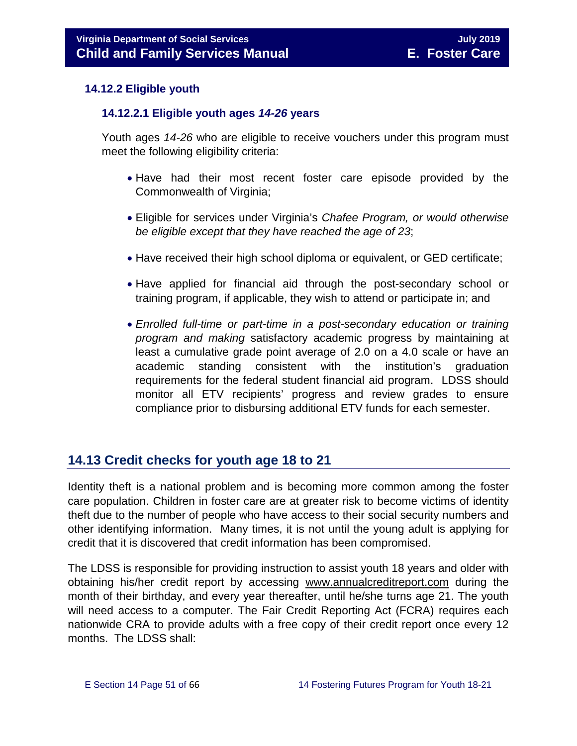#### <span id="page-50-0"></span>**14.12.2 Eligible youth**

#### **14.12.2.1 Eligible youth ages** *14-26* **years**

Youth ages *14-26* who are eligible to receive vouchers under this program must meet the following eligibility criteria:

- Have had their most recent foster care episode provided by the Commonwealth of Virginia;
- Eligible for services under Virginia's *Chafee Program, or would otherwise be eligible except that they have reached the age of 23*;
- Have received their high school diploma or equivalent, or GED certificate;
- Have applied for financial aid through the post-secondary school or training program, if applicable, they wish to attend or participate in; and
- *Enrolled full-time or part-time in a post-secondary education or training program and making* satisfactory academic progress by maintaining at least a cumulative grade point average of 2.0 on a 4.0 scale or have an academic standing consistent with the institution's graduation requirements for the federal student financial aid program. LDSS should monitor all ETV recipients' progress and review grades to ensure compliance prior to disbursing additional ETV funds for each semester.

# <span id="page-50-1"></span>**14.13 Credit checks for youth age 18 to 21**

Identity theft is a national problem and is becoming more common among the foster care population. Children in foster care are at greater risk to become victims of identity theft due to the number of people who have access to their social security numbers and other identifying information. Many times, it is not until the young adult is applying for credit that it is discovered that credit information has been compromised.

The LDSS is responsible for providing instruction to assist youth 18 years and older with obtaining his/her credit report by accessing [www.annualcreditreport.com](https://www.annualcreditreport.com/index.action) during the month of their birthday, and every year thereafter, until he/she turns age 21. The youth will need access to a computer. The Fair Credit Reporting Act (FCRA) requires each nationwide CRA to provide adults with a free copy of their credit report once every 12 months. The LDSS shall: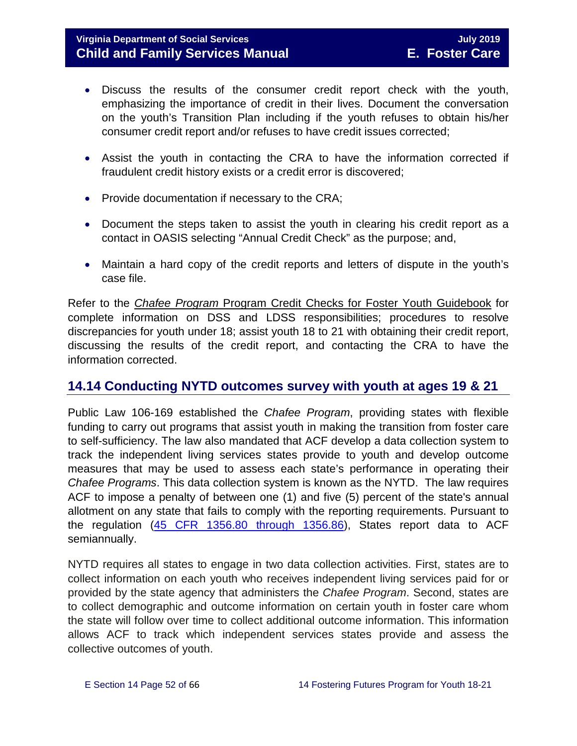#### **Virginia Department of Social Services** July 2019 **July 2019 Child and Family Services Manual E. Foster Care**

- Discuss the results of the consumer credit report check with the youth, emphasizing the importance of credit in their lives. Document the conversation on the youth's Transition Plan including if the youth refuses to obtain his/her consumer credit report and/or refuses to have credit issues corrected;
- Assist the youth in contacting the CRA to have the information corrected if fraudulent credit history exists or a credit error is discovered;
- Provide documentation if necessary to the CRA;
- Document the steps taken to assist the youth in clearing his credit report as a contact in OASIS selecting "Annual Credit Check" as the purpose; and,
- Maintain a hard copy of the credit reports and letters of dispute in the youth's case file.

Refer to the *Chafee Program* [Program Credit Checks for Foster Youth Guidebook](https://fusion.dss.virginia.gov/Portals/%5Bdfs%5D/Files/Foster%20Care/Job%20Aids%20%26%20Resources/Credit_Checks_Guidebook_.pdf) for complete information on DSS and LDSS responsibilities; procedures to resolve discrepancies for youth under 18; assist youth 18 to 21 with obtaining their credit report, discussing the results of the credit report, and contacting the CRA to have the information corrected.

# <span id="page-51-0"></span>**14.14 Conducting NYTD outcomes survey with youth at ages 19 & 21**

Public Law 106-169 established the *Chafee Program*, providing states with flexible funding to carry out programs that assist youth in making the transition from foster care to self-sufficiency. The law also mandated that ACF develop a data collection system to track the independent living services states provide to youth and develop outcome measures that may be used to assess each state's performance in operating their *Chafee Programs*. This data collection system is known as the NYTD. The law requires ACF to impose a penalty of between one (1) and five (5) percent of the state's annual allotment on any state that fails to comply with the reporting requirements. Pursuant to the regulation [\(45 CFR 1356.80 through 1356.86\)](http://www.ecfr.gov/cgi-bin/retrieveECFR?gp=1&SID=3d9be8b33d08994a45cff8aaff9f9476&ty=HTML&h=L&mc=true&r=PART&n=pt45.4.1356), States report data to ACF semiannually.

NYTD requires all states to engage in two data collection activities. First, states are to collect information on each youth who receives independent living services paid for or provided by the state agency that administers the *Chafee Program*. Second, states are to collect demographic and outcome information on certain youth in foster care whom the state will follow over time to collect additional outcome information. This information allows ACF to track which independent services states provide and assess the collective outcomes of youth.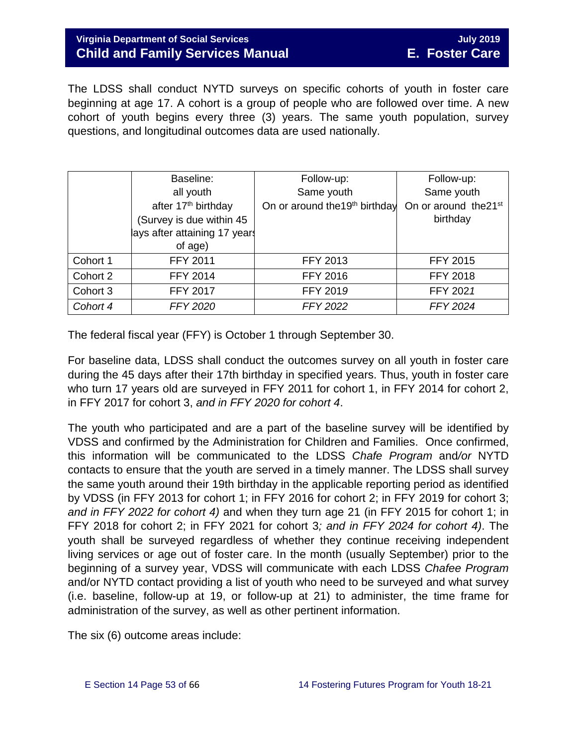### **Virginia Department of Social Services** July 2019 **July 2019 Child and Family Services Manual E. Foster Care**

The LDSS shall conduct NYTD surveys on specific cohorts of youth in foster care beginning at age 17. A cohort is a group of people who are followed over time. A new cohort of youth begins every three (3) years. The same youth population, survey questions, and longitudinal outcomes data are used nationally.

|          | Baseline:                       | Follow-up:                                 | Follow-up:                        |
|----------|---------------------------------|--------------------------------------------|-----------------------------------|
|          | all youth                       | Same youth                                 | Same youth                        |
|          | after 17 <sup>th</sup> birthday | On or around the 19 <sup>th</sup> birthday | On or around the 21 <sup>st</sup> |
|          | (Survey is due within 45        |                                            | birthday                          |
|          | lays after attaining 17 years   |                                            |                                   |
|          | of age)                         |                                            |                                   |
| Cohort 1 | <b>FFY 2011</b>                 | <b>FFY 2013</b>                            | <b>FFY 2015</b>                   |
| Cohort 2 | <b>FFY 2014</b>                 | <b>FFY 2016</b>                            | <b>FFY 2018</b>                   |
| Cohort 3 | <b>FFY 2017</b>                 | FFY 2019                                   | FFY 2021                          |
| Cohort 4 | <b>FFY 2020</b>                 | <b>FFY 2022</b>                            | <b>FFY 2024</b>                   |

The federal fiscal year (FFY) is October 1 through September 30.

For baseline data, LDSS shall conduct the outcomes survey on all youth in foster care during the 45 days after their 17th birthday in specified years. Thus, youth in foster care who turn 17 years old are surveyed in FFY 2011 for cohort 1, in FFY 2014 for cohort 2, in FFY 2017 for cohort 3, *and in FFY 2020 for cohort 4*.

The youth who participated and are a part of the baseline survey will be identified by VDSS and confirmed by the Administration for Children and Families. Once confirmed, this information will be communicated to the LDSS *Chafe Program* and*/or* NYTD contacts to ensure that the youth are served in a timely manner. The LDSS shall survey the same youth around their 19th birthday in the applicable reporting period as identified by VDSS (in FFY 2013 for cohort 1; in FFY 2016 for cohort 2; in FFY 2019 for cohort 3; *and in FFY 2022 for cohort 4)* and when they turn age 21 (in FFY 2015 for cohort 1; in FFY 2018 for cohort 2; in FFY 2021 for cohort 3*; and in FFY 2024 for cohort 4)*. The youth shall be surveyed regardless of whether they continue receiving independent living services or age out of foster care. In the month (usually September) prior to the beginning of a survey year, VDSS will communicate with each LDSS *Chafee Program*  and/or NYTD contact providing a list of youth who need to be surveyed and what survey (i.e. baseline, follow-up at 19, or follow-up at 21) to administer, the time frame for administration of the survey, as well as other pertinent information.

The six (6) outcome areas include: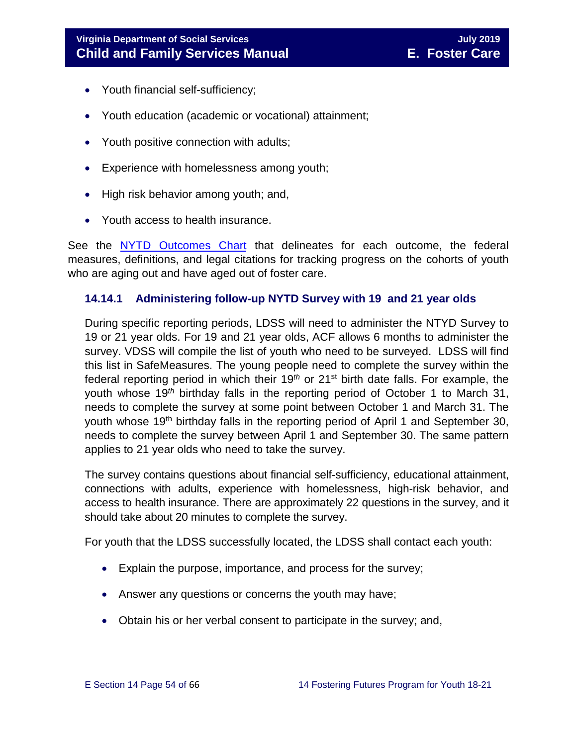- Youth financial self-sufficiency;
- Youth education (academic or vocational) attainment;
- Youth positive connection with adults;
- Experience with homelessness among youth;
- High risk behavior among youth; and,
- Youth access to health insurance.

See the [NYTD Outcomes Chart](https://fusion.dss.virginia.gov/dfs/DFS-Home/Foster-Care/Services-for-Older-Youth#NYTD) that delineates for each outcome, the federal measures, definitions, and legal citations for tracking progress on the cohorts of youth who are aging out and have aged out of foster care.

#### <span id="page-53-0"></span>**14.14.1 Administering follow-up NYTD Survey with 19 and 21 year olds**

During specific reporting periods, LDSS will need to administer the NTYD Survey to 19 or 21 year olds. For 19 and 21 year olds, ACF allows 6 months to administer the survey. VDSS will compile the list of youth who need to be surveyed. LDSS will find this list in SafeMeasures. The young people need to complete the survey within the federal reporting period in which their 19*th* or 21st birth date falls. For example, the youth whose 19*th* birthday falls in the reporting period of October 1 to March 31, needs to complete the survey at some point between October 1 and March 31. The youth whose 19<sup>th</sup> birthday falls in the reporting period of April 1 and September 30, needs to complete the survey between April 1 and September 30. The same pattern applies to 21 year olds who need to take the survey.

The survey contains questions about financial self-sufficiency, educational attainment, connections with adults, experience with homelessness, high-risk behavior, and access to health insurance. There are approximately 22 questions in the survey, and it should take about 20 minutes to complete the survey.

For youth that the LDSS successfully located, the LDSS shall contact each youth:

- Explain the purpose, importance, and process for the survey;
- Answer any questions or concerns the youth may have;
- Obtain his or her verbal consent to participate in the survey; and,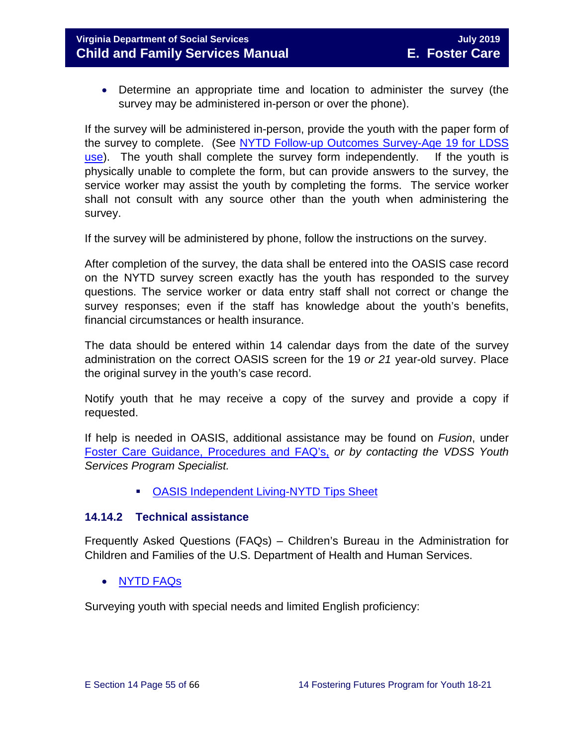• Determine an appropriate time and location to administer the survey (the survey may be administered in-person or over the phone).

If the survey will be administered in-person, provide the youth with the paper form of the survey to complete. (See [NYTD Follow-up Outcomes Survey-Age 19 for LDSS](https://fusion.dss.virginia.gov/dfs/DFS-Home/Foster-Care/Services-for-Older-Youth#NYTD)  [use\)](https://fusion.dss.virginia.gov/dfs/DFS-Home/Foster-Care/Services-for-Older-Youth#NYTD). The youth shall complete the survey form independently. If the youth is physically unable to complete the form, but can provide answers to the survey, the service worker may assist the youth by completing the forms. The service worker shall not consult with any source other than the youth when administering the survey.

If the survey will be administered by phone, follow the instructions on the survey.

After completion of the survey, the data shall be entered into the OASIS case record on the NYTD survey screen exactly has the youth has responded to the survey questions. The service worker or data entry staff shall not correct or change the survey responses; even if the staff has knowledge about the youth's benefits, financial circumstances or health insurance.

The data should be entered within 14 calendar days from the date of the survey administration on the correct OASIS screen for the 19 *or 21* year-old survey. Place the original survey in the youth's case record.

Notify youth that he may receive a copy of the survey and provide a copy if requested.

If help is needed in OASIS, additional assistance may be found on *Fusion*, under [Foster Care Guidance, Procedures and FAQ's,](https://fusion.dss.virginia.gov/dfs/DFS-Home/Foster-Care/Services-for-Older-Youth#NYTD) *or by contacting the VDSS Youth Services Program Specialist.*

[OASIS Independent Living-NYTD Tips Sheet](https://fusion.dss.virginia.gov/dfs/DFS-Home/Foster-Care/Services-for-Older-Youth#NYTD)

#### <span id="page-54-0"></span>**14.14.2 Technical assistance**

Frequently Asked Questions (FAQs) – Children's Bureau in the Administration for Children and Families of the U.S. Department of Health and Human Services.

• [NYTD](https://www.childwelfare.gov/cb/research-data-technology/reporting-systems/nytd/faq/) FAQs

Surveying youth with special needs and limited English proficiency: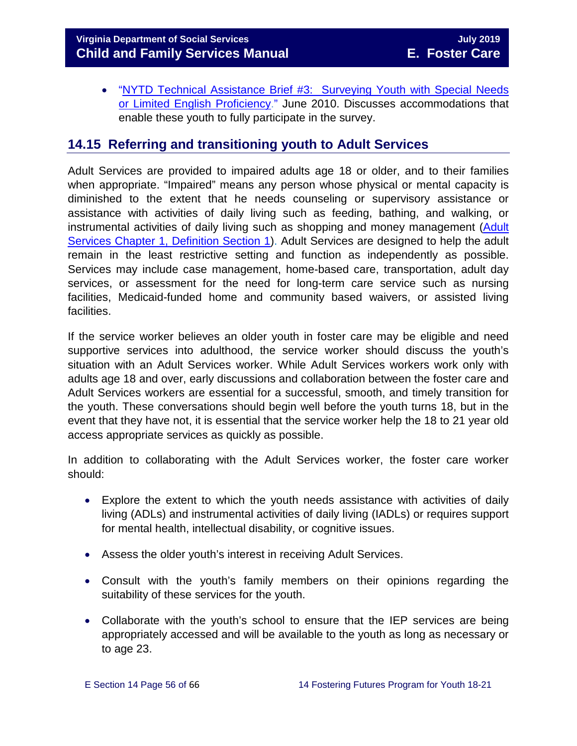• ["NYTD Technical Assistance Brief #3: Surveying Youth with Special Needs](http://www.acf.hhs.gov/programs/cb/resource/nytd-data-brief-3)  [or Limited English Proficiency.](http://www.acf.hhs.gov/programs/cb/resource/nytd-data-brief-3)" June 2010. Discusses accommodations that enable these youth to fully participate in the survey.

# <span id="page-55-0"></span>**14.15 Referring and transitioning youth to Adult Services**

Adult Services are provided to impaired adults age 18 or older, and to their families when appropriate. "Impaired" means any person whose physical or mental capacity is diminished to the extent that he needs counseling or supervisory assistance or assistance with activities of daily living such as feeding, bathing, and walking, or instrumental activities of daily living such as shopping and money management (Adult [Services Chapter 1, Definition Section 1\)](http://www.dss.virginia.gov/files/division/dfs/as/as_intro_page/manuals/as/chapter_1_introduction_2016.pdf). Adult Services are designed to help the adult remain in the least restrictive setting and function as independently as possible. Services may include case management, home-based care, transportation, adult day services, or assessment for the need for long-term care service such as nursing facilities, Medicaid-funded home and community based waivers, or assisted living facilities.

If the service worker believes an older youth in foster care may be eligible and need supportive services into adulthood, the service worker should discuss the youth's situation with an Adult Services worker. While Adult Services workers work only with adults age 18 and over, early discussions and collaboration between the foster care and Adult Services workers are essential for a successful, smooth, and timely transition for the youth. These conversations should begin well before the youth turns 18, but in the event that they have not, it is essential that the service worker help the 18 to 21 year old access appropriate services as quickly as possible.

In addition to collaborating with the Adult Services worker, the foster care worker should:

- Explore the extent to which the youth needs assistance with activities of daily living (ADLs) and instrumental activities of daily living (IADLs) or requires support for mental health, intellectual disability, or cognitive issues.
- Assess the older youth's interest in receiving Adult Services.
- Consult with the youth's family members on their opinions regarding the suitability of these services for the youth.
- Collaborate with the youth's school to ensure that the IEP services are being appropriately accessed and will be available to the youth as long as necessary or to age 23.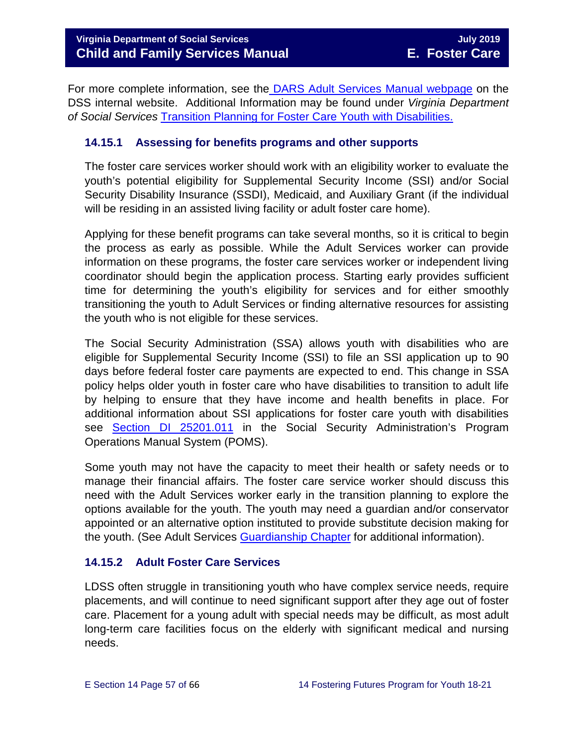For more complete information, see the [DARS Adult Services Manual webpage](https://fusion.dss.virginia.gov/dars/DARS-Home/ADULT-SERVICES/Adult-Services-Manuals) on the DSS internal website. Additional Information may be found under *Virginia Department of Social Services* [Transition Planning for Foster Care Youth with Disabilities.](http://spark.dss.virginia.gov/divisions/dfs/fc/files/guidance_procedures_faq/guidance_procedures/tranistion_plan_disabilities.pdf) 

#### <span id="page-56-0"></span>**14.15.1 Assessing for benefits programs and other supports**

The foster care services worker should work with an eligibility worker to evaluate the youth's potential eligibility for Supplemental Security Income (SSI) and/or Social Security Disability Insurance (SSDI), Medicaid, and Auxiliary Grant (if the individual will be residing in an assisted living facility or adult foster care home).

Applying for these benefit programs can take several months, so it is critical to begin the process as early as possible. While the Adult Services worker can provide information on these programs, the foster care services worker or independent living coordinator should begin the application process. Starting early provides sufficient time for determining the youth's eligibility for services and for either smoothly transitioning the youth to Adult Services or finding alternative resources for assisting the youth who is not eligible for these services.

The Social Security Administration (SSA) allows youth with disabilities who are eligible for Supplemental Security Income (SSI) to file an SSI application up to 90 days before federal foster care payments are expected to end. This change in SSA policy helps older youth in foster care who have disabilities to transition to adult life by helping to ensure that they have income and health benefits in place. For additional information about SSI applications for foster care youth with disabilities see [Section DI 25201.011](https://secure.ssa.gov/apps10/poms.nsf/subchapterlist!openview&restricttocategory=04252) in the Social Security Administration's Program Operations Manual System (POMS).

Some youth may not have the capacity to meet their health or safety needs or to manage their financial affairs. The foster care service worker should discuss this need with the Adult Services worker early in the transition planning to explore the options available for the youth. The youth may need a guardian and/or conservator appointed or an alternative option instituted to provide substitute decision making for the youth. (See Adult Services [Guardianship Chapter](https://fusion.dss.virginia.gov/Portals/%5Bdars%5D/Files/Chapter%207-Guardianship.pdf) for additional information).

#### <span id="page-56-1"></span>**14.15.2 Adult Foster Care Services**

LDSS often struggle in transitioning youth who have complex service needs, require placements, and will continue to need significant support after they age out of foster care. Placement for a young adult with special needs may be difficult, as most adult long-term care facilities focus on the elderly with significant medical and nursing needs.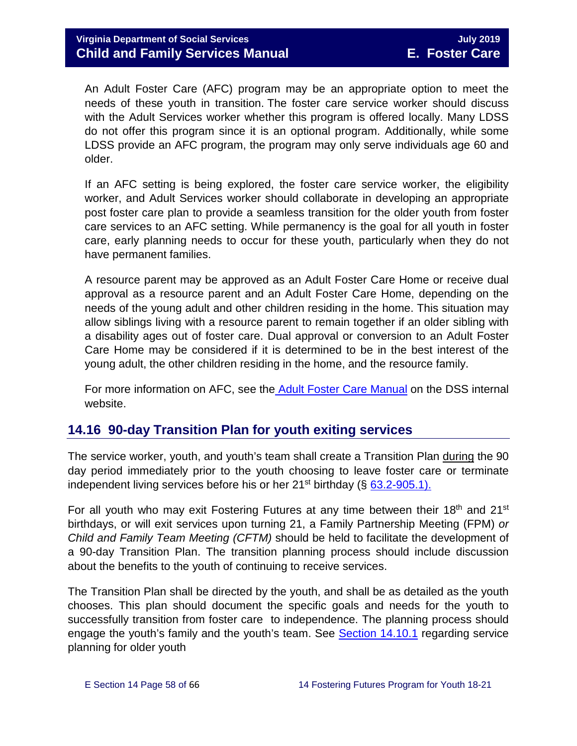An Adult Foster Care (AFC) program may be an appropriate option to meet the needs of these youth in transition. The foster care service worker should discuss with the Adult Services worker whether this program is offered locally. Many LDSS do not offer this program since it is an optional program. Additionally, while some LDSS provide an AFC program, the program may only serve individuals age 60 and older.

If an AFC setting is being explored, the foster care service worker, the eligibility worker, and Adult Services worker should collaborate in developing an appropriate post foster care plan to provide a seamless transition for the older youth from foster care services to an AFC setting. While permanency is the goal for all youth in foster care, early planning needs to occur for these youth, particularly when they do not have permanent families.

A resource parent may be approved as an Adult Foster Care Home or receive dual approval as a resource parent and an Adult Foster Care Home, depending on the needs of the young adult and other children residing in the home. This situation may allow siblings living with a resource parent to remain together if an older sibling with a disability ages out of foster care. Dual approval or conversion to an Adult Foster Care Home may be considered if it is determined to be in the best interest of the young adult, the other children residing in the home, and the resource family.

For more information on AFC, see the [Adult Foster Care Manual](https://fusion.dss.virginia.gov/Portals/%5Bdars%5D/Files/Chapter%204-Long-term%20Care%20Services.pdf) on the DSS internal website.

# <span id="page-57-0"></span>**14.16 90-day Transition Plan for youth exiting services**

The service worker, youth, and youth's team shall create a Transition Plan during the 90 day period immediately prior to the youth choosing to leave foster care or terminate independent living services before his or her  $21^{st}$  birthday (§ 63.2-905.1).

For all youth who may exit Fostering Futures at any time between their 18<sup>th</sup> and 21<sup>st</sup> birthdays, or will exit services upon turning 21, a Family Partnership Meeting (FPM) *or Child and Family Team Meeting (CFTM)* should be held to facilitate the development of a 90-day Transition Plan. The transition planning process should include discussion about the benefits to the youth of continuing to receive services.

The Transition Plan shall be directed by the youth, and shall be as detailed as the youth chooses. This plan should document the specific goals and needs for the youth to successfully transition from foster care to independence. The planning process should engage the youth's family and the youth's team. See [Section 14.10.1](#page-43-0) regarding service planning for older youth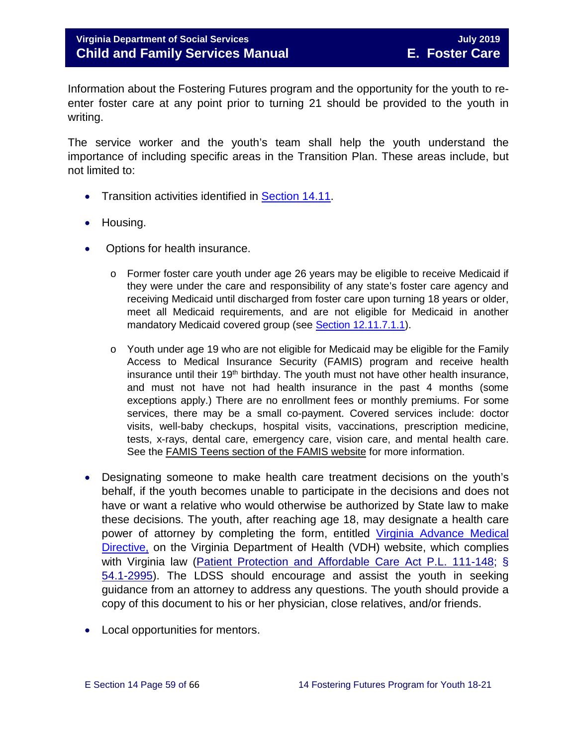Information about the Fostering Futures program and the opportunity for the youth to reenter foster care at any point prior to turning 21 should be provided to the youth in writing.

The service worker and the youth's team shall help the youth understand the importance of including specific areas in the Transition Plan. These areas include, but not limited to:

- Transition activities identified in **Section 14.11**.
- Housing.
- Options for health insurance.
	- $\circ$  Former foster care youth under age 26 years may be eligible to receive Medicaid if they were under the care and responsibility of any state's foster care agency and receiving Medicaid until discharged from foster care upon turning 18 years or older, meet all Medicaid requirements, and are not eligible for Medicaid in another mandatory Medicaid covered group (see [Section 12.11.7.1.1\)](https://fusion.dss.virginia.gov/Portals/%5bdfs%5d/Files/DFS%20Manuals/Foster%20Care%20Manuals/Foster%20Care%20Manual%2007-2019/section_12_identifying_services_to_be_provided.pdf#page=27).
	- $\circ$  Youth under age 19 who are not eligible for Medicaid may be eligible for the Family Access to Medical Insurance Security (FAMIS) program and receive health insurance until their  $19<sup>th</sup>$  birthday. The youth must not have other health insurance, and must not have not had health insurance in the past 4 months (some exceptions apply.) There are no enrollment fees or monthly premiums. For some services, there may be a small co-payment. Covered services include: doctor visits, well-baby checkups, hospital visits, vaccinations, prescription medicine, tests, x-rays, dental care, emergency care, vision care, and mental health care. See the [FAMIS Teens section of the FAMIS website](http://www.famis.org/teen.cfm?language=English) for more information.
- Designating someone to make health care treatment decisions on the youth's behalf, if the youth becomes unable to participate in the decisions and does not have or want a relative who would otherwise be authorized by State law to make these decisions. The youth, after reaching age 18, may designate a health care power of attorney by completing the form, entitled [Virginia Advance Medical](http://www.vdh.virginia.gov/OLC/documents/2008/pdfs/2005%20advanced%20directive%20form.pdf)  [Directive,](http://www.vdh.virginia.gov/OLC/documents/2008/pdfs/2005%20advanced%20directive%20form.pdf) on the Virginia Department of Health (VDH) website, which complies with Virginia law [\(Patient Protection and Affordable Care Act P.L. 111-148;](http://www.gpo.gov/fdsys/pkg/PLAW-111publ148/pdf/PLAW-111publ148.pdf) § [54.1-2995\)](http://leg1.state.va.us/cgi-bin/legp504.exe?000+cod+54.1-2995). The LDSS should encourage and assist the youth in seeking guidance from an attorney to address any questions. The youth should provide a copy of this document to his or her physician, close relatives, and/or friends.
- Local opportunities for mentors.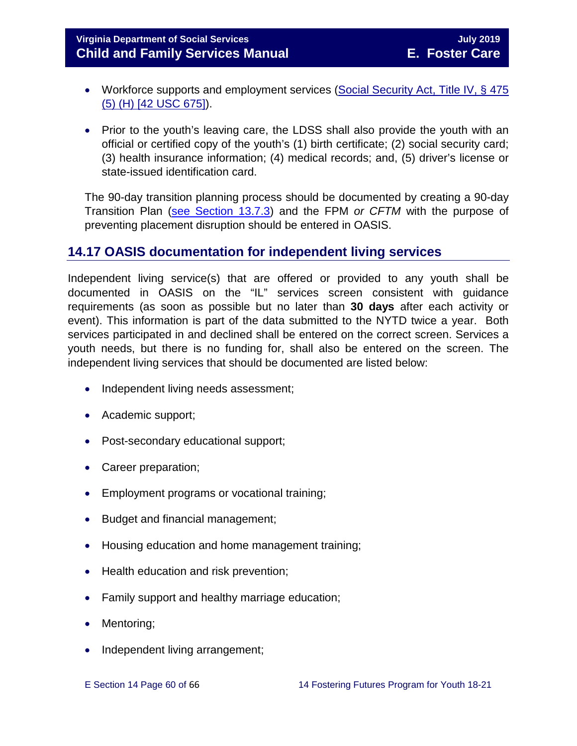**Virginia Department of Social Services July 2019 Child and Family Services Manual E. Foster Care**

- Workforce supports and employment services (Social Security Act, Title IV, § 475 [\(5\) \(H\) \[42 USC 675\]\)](http://www.ssa.gov/OP_Home/ssact/title04/0475.htm).
- Prior to the youth's leaving care, the LDSS shall also provide the youth with an official or certified copy of the youth's (1) birth certificate; (2) social security card; (3) health insurance information; (4) medical records; and, (5) driver's license or state-issued identification card.

The 90-day transition planning process should be documented by creating a 90-day Transition Plan [\(see Section 13.7.3\)](https://fusion.dss.virginia.gov/Portals/%5bdfs%5d/Files/DFS%20Manuals/Foster%20Care%20Manuals/Foster%20Care%20Manual%2007-2019/Section_13_achieving_permanency_for_older_youth.pdf#page=20) and the FPM *or CFTM* with the purpose of preventing placement disruption should be entered in OASIS.

# <span id="page-59-0"></span>**14.17 OASIS documentation for independent living services**

Independent living service(s) that are offered or provided to any youth shall be documented in OASIS on the "IL" services screen consistent with guidance requirements (as soon as possible but no later than **30 days** after each activity or event). This information is part of the data submitted to the NYTD twice a year. Both services participated in and declined shall be entered on the correct screen. Services a youth needs, but there is no funding for, shall also be entered on the screen. The independent living services that should be documented are listed below:

- Independent living needs assessment;
- Academic support;
- Post-secondary educational support;
- Career preparation;
- Employment programs or vocational training;
- Budget and financial management;
- Housing education and home management training;
- Health education and risk prevention;
- Family support and healthy marriage education;
- Mentoring;
- Independent living arrangement;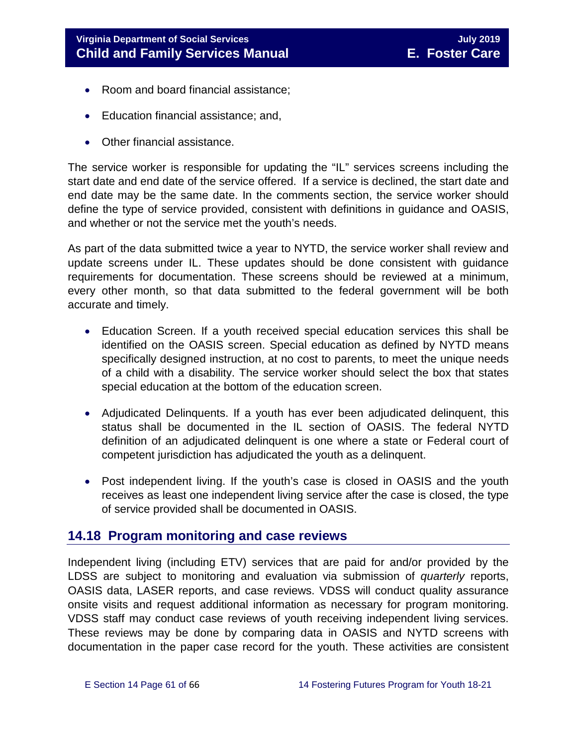- Room and board financial assistance;
- Education financial assistance; and,
- Other financial assistance.

The service worker is responsible for updating the "IL" services screens including the start date and end date of the service offered. If a service is declined, the start date and end date may be the same date. In the comments section, the service worker should define the type of service provided, consistent with definitions in guidance and OASIS, and whether or not the service met the youth's needs.

As part of the data submitted twice a year to NYTD, the service worker shall review and update screens under IL. These updates should be done consistent with guidance requirements for documentation. These screens should be reviewed at a minimum, every other month, so that data submitted to the federal government will be both accurate and timely.

- Education Screen. If a youth received special education services this shall be identified on the OASIS screen. Special education as defined by NYTD means specifically designed instruction, at no cost to parents, to meet the unique needs of a child with a disability. The service worker should select the box that states special education at the bottom of the education screen.
- Adjudicated Delinquents. If a youth has ever been adjudicated delinquent, this status shall be documented in the IL section of OASIS. The federal NYTD definition of an adjudicated delinquent is one where a state or Federal court of competent jurisdiction has adjudicated the youth as a delinquent.
- Post independent living. If the youth's case is closed in OASIS and the youth receives as least one independent living service after the case is closed, the type of service provided shall be documented in OASIS.

# <span id="page-60-0"></span>**14.18 Program monitoring and case reviews**

Independent living (including ETV) services that are paid for and/or provided by the LDSS are subject to monitoring and evaluation via submission of *quarterly* reports, OASIS data, LASER reports, and case reviews. VDSS will conduct quality assurance onsite visits and request additional information as necessary for program monitoring. VDSS staff may conduct case reviews of youth receiving independent living services. These reviews may be done by comparing data in OASIS and NYTD screens with documentation in the paper case record for the youth. These activities are consistent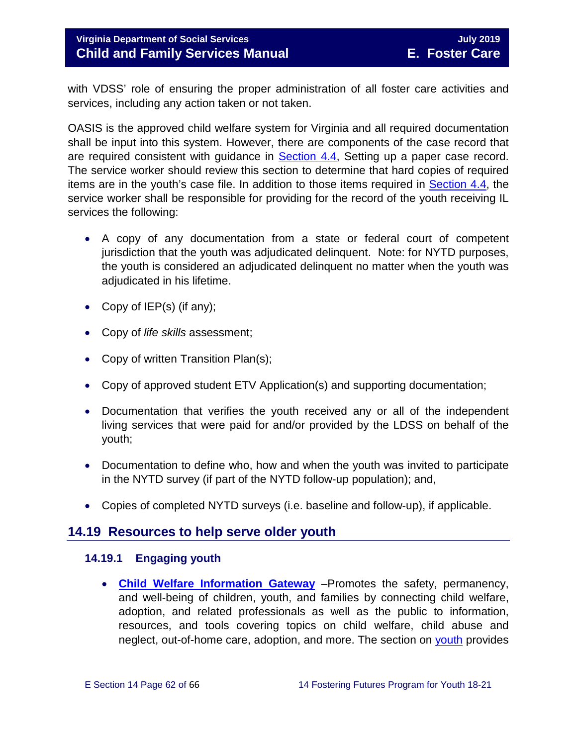# **Virginia Department of Social Services** July **2019 July 2019 Child and Family Services Manual E. Foster Care**

with VDSS' role of ensuring the proper administration of all foster care activities and services, including any action taken or not taken.

OASIS is the approved child welfare system for Virginia and all required documentation shall be input into this system. However, there are components of the case record that are required consistent with guidance in [Section 4.4,](https://fusion.dss.virginia.gov/Portals/%5bdfs%5d/Files/DFS%20Manuals/Foster%20Care%20Manuals/Foster%20Care%20Manual%2007-2019/section_4_opening_and_maintaining_case.pdf#page=5) Setting up a paper case record. The service worker should review this section to determine that hard copies of required items are in the youth's case file. In addition to those items required in [Section 4.4,](https://fusion.dss.virginia.gov/Portals/%5bdfs%5d/Files/DFS%20Manuals/Foster%20Care%20Manuals/Foster%20Care%20Manual%2007-2019/section_4_opening_and_maintaining_case.pdf#page=5) the service worker shall be responsible for providing for the record of the youth receiving IL services the following:

- A copy of any documentation from a state or federal court of competent jurisdiction that the youth was adjudicated delinquent. Note: for NYTD purposes, the youth is considered an adjudicated delinquent no matter when the youth was adjudicated in his lifetime.
- Copy of IEP(s) (if any);
- Copy of *life skills* assessment;
- Copy of written Transition Plan(s);
- Copy of approved student ETV Application(s) and supporting documentation;
- Documentation that verifies the youth received any or all of the independent living services that were paid for and/or provided by the LDSS on behalf of the youth;
- Documentation to define who, how and when the youth was invited to participate in the NYTD survey (if part of the NYTD follow-up population); and,
- Copies of completed NYTD surveys (i.e. baseline and follow-up), if applicable.

# <span id="page-61-0"></span>**14.19 Resources to help serve older youth**

### <span id="page-61-1"></span>**14.19.1 Engaging youth**

• **[Child Welfare Information Gateway](https://www.childwelfare.gov/)** –Promotes the safety, permanency, and well-being of children, youth, and families by connecting child welfare, adoption, and related professionals as well as the public to information, resources, and tools covering topics on child welfare, child abuse and neglect, out-of-home care, adoption, and more. The section on [youth](https://www.childwelfare.gov/topics/systemwide/youth/) provides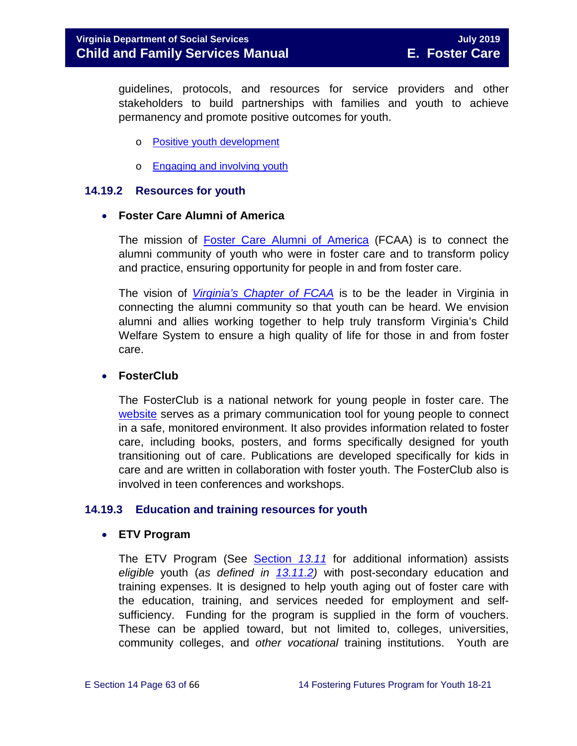guidelines, protocols, and resources for service providers and other stakeholders to build partnerships with families and youth to achieve permanency and promote positive outcomes for youth.

- o [Positive youth development](https://www.childwelfare.gov/topics/systemwide/youth/development/)
- o **[Engaging and involving youth](https://www.childwelfare.gov/topics/systemwide/youth/engagingyouth/)**

#### <span id="page-62-0"></span>**14.19.2 Resources for youth**

#### • **Foster Care Alumni of America**

The mission of [Foster Care Alumni of America](http://www.fostercarealumni.org/) (FCAA) is to connect the alumni community of youth who were in foster care and to transform policy and practice, ensuring opportunity for people in and from foster care.

The vision of *[Virginia's Chapter of FCAA](http://www.fostercarealumni.org/virginia-chapter/)* is to be the leader in Virginia in connecting the alumni community so that youth can be heard. We envision alumni and allies working together to help truly transform Virginia's Child Welfare System to ensure a high quality of life for those in and from foster care.

#### • **FosterClub**

The FosterClub is a national network for young people in foster care. The [website](http://www.fosterclub.com/) serves as a primary communication tool for young people to connect in a safe, monitored environment. It also provides information related to foster care, including books, posters, and forms specifically designed for youth transitioning out of care. Publications are developed specifically for kids in care and are written in collaboration with foster youth. The FosterClub also is involved in teen conferences and workshops.

#### <span id="page-62-1"></span>**14.19.3 Education and training resources for youth**

#### • **ETV Program**

The ETV Program (See [Section](https://fusion.dss.virginia.gov/Portals/%5bdfs%5d/Files/DFS%20Manuals/Foster%20Care%20Manuals/Foster%20Care%20Manual%2007-2019/Section_13_achieving_permanency_for_older_youth.pdf#page=26) *13.11* for additional information) assists *eligible* youth (*as defined in [13.11.2\)](https://fusion.dss.virginia.gov/Portals/%5bdfs%5d/Files/DFS%20Manuals/Foster%20Care%20Manuals/Foster%20Care%20Manual%2007-2019/Section_13_achieving_permanency_for_older_youth.pdf#page=27)* with post-secondary education and training expenses. It is designed to help youth aging out of foster care with the education, training, and services needed for employment and selfsufficiency. Funding for the program is supplied in the form of vouchers. These can be applied toward, but not limited to, colleges, universities, community colleges, and *other vocational* training institutions. Youth are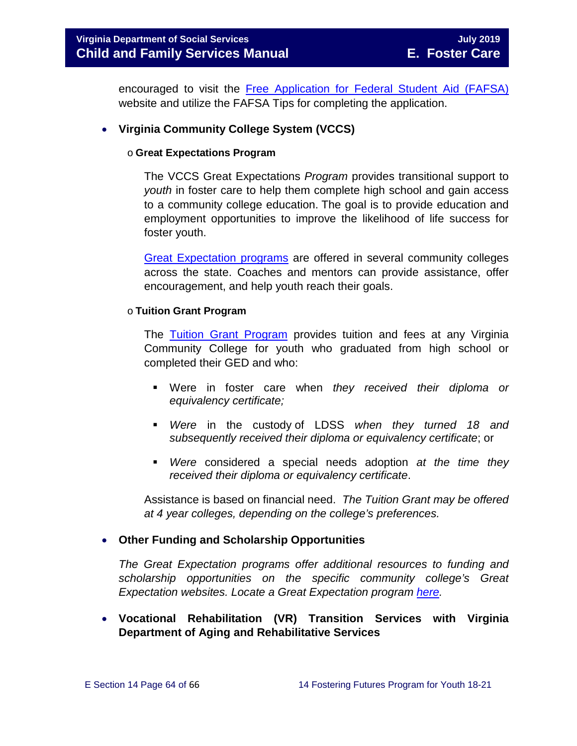encouraged to visit the [Free Application for Federal Student Aid \(FAFSA\)](http://www.fafsa.ed.gov/) website and utilize the FAFSA Tips for completing the application.

#### • **Virginia Community College System (VCCS)**

#### o **Great Expectations Program**

The VCCS Great Expectations *Program* provides transitional support to *youth* in foster care to help them complete high school and gain access to a community college education. The goal is to provide education and employment opportunities to improve the likelihood of life success for foster youth.

[Great Expectation programs](http://greatexpectations.vccs.edu/) are offered in several community colleges across the state. Coaches and mentors can provide assistance, offer encouragement, and help youth reach their goals.

#### o **Tuition Grant Program**

The [Tuition Grant Program](http://cdn.vccs.edu/wp-content/uploads/2013/07/vatutiongrantflyer.pdf) provides tuition and fees at any Virginia Community College for youth who graduated from high school or completed their GED and who:

- Were in foster care when *they received their diploma or equivalency certificate;*
- *Were* in the custody of LDSS *when they turned 18 and subsequently received their diploma or equivalency certificate*; or
- *Were* considered a special needs adoption *at the time they received their diploma or equivalency certificate*.

Assistance is based on financial need. *The Tuition Grant may be offered at 4 year colleges, depending on the college's preferences.*

#### • **Other Funding and Scholarship Opportunities**

*The Great Expectation programs offer additional resources to funding and scholarship opportunities on the specific community college's Great Expectation websites. Locate a Great Expectation program [here.](http://greatexpectations.vccs.edu/find-a-college/)*

• **Vocational Rehabilitation (VR) Transition Services with Virginia Department of Aging and Rehabilitative Services**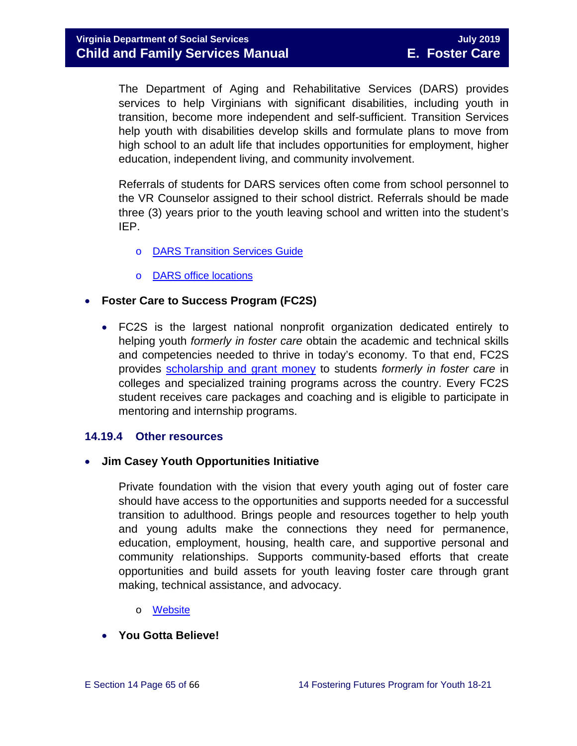The Department of Aging and Rehabilitative Services (DARS) provides services to help Virginians with significant disabilities, including youth in transition, become more independent and self-sufficient. Transition Services help youth with disabilities develop skills and formulate plans to move from high school to an adult life that includes opportunities for employment, higher education, independent living, and community involvement.

Referrals of students for DARS services often come from school personnel to the VR Counselor assigned to their school district. Referrals should be made three (3) years prior to the youth leaving school and written into the student's IEP.

- o [DARS Transition Services Guide](http://www.vadrs.org/transitionservices.htm)
- o [DARS office locations](http://www.vadrs.org/offices.aspx)

#### • **Foster Care to Success Program (FC2S)**

• FC2S is the largest national nonprofit organization dedicated entirely to helping youth *formerly in foster care* obtain the academic and technical skills and competencies needed to thrive in today's economy. To that end, FC2S provides [scholarship and grant money](http://www.fc2success.org/) to students *formerly in foster care* in colleges and specialized training programs across the country. Every FC2S student receives care packages and coaching and is eligible to participate in mentoring and internship programs.

#### <span id="page-64-0"></span>**14.19.4 Other resources**

• **Jim Casey Youth Opportunities Initiative**

Private foundation with the vision that every youth aging out of foster care should have access to the opportunities and supports needed for a successful transition to adulthood. Brings people and resources together to help youth and young adults make the connections they need for permanence, education, employment, housing, health care, and supportive personal and community relationships. Supports community-based efforts that create opportunities and build assets for youth leaving foster care through grant making, technical assistance, and advocacy.

- o [Website](http://www.jimcaseyyouth.org/)
- **You Gotta Believe!**